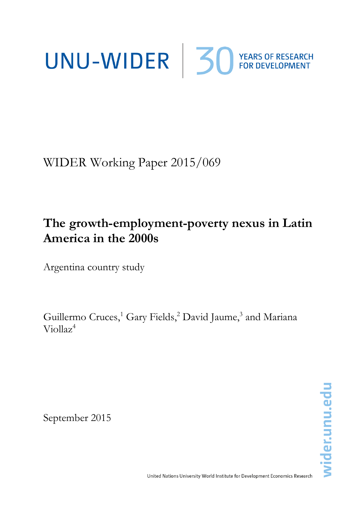# UNU-WIDER | 30 YEARS OF RESEARCH

WIDER Working Paper 2015/069

# **The growth-employment-poverty nexus in Latin America in the 2000s**

Argentina country study

Guillermo Cruces,<sup>1</sup> Gary Fields,<sup>2</sup> David Jaume,<sup>3</sup> and Mariana Viollaz<sup>4</sup>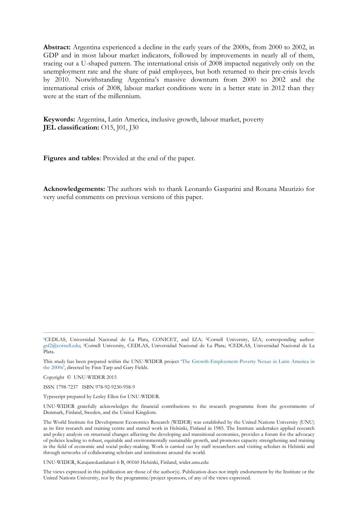**Abstract:** Argentina experienced a decline in the early years of the 2000s, from 2000 to 2002, in GDP and in most labour market indicators, followed by improvements in nearly all of them, tracing out a U-shaped pattern. The international crisis of 2008 impacted negatively only on the unemployment rate and the share of paid employees, but both returned to their pre-crisis levels by 2010. Notwithstanding Argentina's massive downturn from 2000 to 2002 and the international crisis of 2008, labour market conditions were in a better state in 2012 than they were at the start of the millennium.

**Keywords:** Argentina, Latin America, inclusive growth, labour market, poverty **JEL classification:** O15, J01, J30

**Figures and tables**: Provided at the end of the paper.

**Acknowledgements:** The authors wish to thank Leonardo Gasparini and Roxana Maurizio for very useful comments on previous versions of this paper.

This study has been prepared within the UNU-WIDER project '[The Growth-Employment-Poverty Nexus in Latin America in](http://www.wider.unu.edu/research/TIS-programme/inclusion/en_GB/growth-employment-poverty-nexus-latin-america-2000s/)  [the 2000s](http://www.wider.unu.edu/research/TIS-programme/inclusion/en_GB/growth-employment-poverty-nexus-latin-america-2000s/)', directed by Finn Tarp and Gary Fields.

Copyright © UNU-WIDER 2015

ISSN 1798-7237 ISBN 978-92-9230-958-9

Typescript prepared by Lesley Ellen for UNU-WIDER.

UNU-WIDER gratefully acknowledges the financial contributions to the research programme from the governments of Denmark, Finland, Sweden, and the United Kingdom.

The World Institute for Development Economics Research (WIDER) was established by the United Nations University (UNU) as its first research and training centre and started work in Helsinki, Finland in 1985. The Institute undertakes applied research and policy analysis on structural changes affecting the developing and transitional economies, provides a forum for the advocacy of policies leading to robust, equitable and environmentally sustainable growth, and promotes capacity strengthening and training in the field of economic and social policy-making. Work is carried out by staff researchers and visiting scholars in Helsinki and through networks of collaborating scholars and institutions around the world.

UNU-WIDER, Katajanokanlaituri 6 B, 00160 Helsinki, Finland, wider.unu.edu

The views expressed in this publication are those of the author(s). Publication does not imply endorsement by the Institute or the United Nations University, nor by the programme/project sponsors, of any of the views expressed.

<sup>1</sup>CEDLAS, Universidad Nacional de La Plata, CONICET, and IZA; 2Cornell University, IZA; corresponding author: [gsf2@cornell.edu;](mailto:gsf2@cornell.edu) 3Cornell University, CEDLAS, Universidad Nacional de La Plata; 4CEDLAS, Universidad Nacional de La Plata.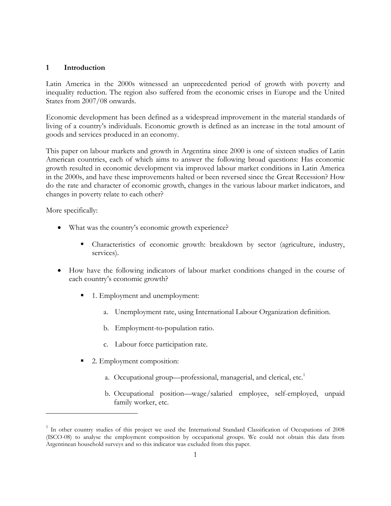### **1 Introduction**

Latin America in the 2000s witnessed an unprecedented period of growth with poverty and inequality reduction. The region also suffered from the economic crises in Europe and the United States from 2007/08 onwards.

Economic development has been defined as a widespread improvement in the material standards of living of a country's individuals. Economic growth is defined as an increase in the total amount of goods and services produced in an economy.

This paper on labour markets and growth in Argentina since 2000 is one of sixteen studies of Latin American countries, each of which aims to answer the following broad questions: Has economic growth resulted in economic development via improved labour market conditions in Latin America in the 2000s, and have these improvements halted or been reversed since the Great Recession? How do the rate and character of economic growth, changes in the various labour market indicators, and changes in poverty relate to each other?

More specifically:

 $\overline{a}$ 

- What was the country's economic growth experience?
	- Characteristics of economic growth: breakdown by sector (agriculture, industry, services).
- How have the following indicators of labour market conditions changed in the course of each country's economic growth?
	- 1. Employment and unemployment:
		- a. Unemployment rate, using International Labour Organization definition.
		- b. Employment-to-population ratio.
		- c. Labour force participation rate.
	- 2. Employment composition:
		- a. Occupational group—professional, managerial, and clerical, etc.<sup>1</sup>
		- b. Occupational position—wage/salaried employee, self-employed, unpaid family worker, etc.

<sup>&</sup>lt;sup>1</sup> In other country studies of this project we used the International Standard Classification of Occupations of 2008 (ISCO-08) to analyse the employment composition by occupational groups. We could not obtain this data from Argentinean household surveys and so this indicator was excluded from this paper.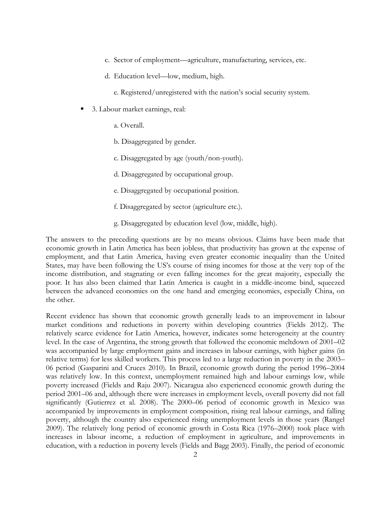- c. Sector of employment—agriculture, manufacturing, services, etc.
- d. Education level—low, medium, high.
	- e. Registered/unregistered with the nation's social security system.
- 3. Labour market earnings, real:
	- a. Overall.
	- b. Disaggregated by gender.
	- c. Disaggregated by age (youth/non-youth).
	- d. Disaggregated by occupational group.
	- e. Disaggregated by occupational position.
	- f. Disaggregated by sector (agriculture etc.).
	- g. Disaggregated by education level (low, middle, high).

The answers to the preceding questions are by no means obvious. Claims have been made that economic growth in Latin America has been jobless, that productivity has grown at the expense of employment, and that Latin America, having even greater economic inequality than the United States, may have been following the US's course of rising incomes for those at the very top of the income distribution, and stagnating or even falling incomes for the great majority, especially the poor. It has also been claimed that Latin America is caught in a middle-income bind, squeezed between the advanced economies on the one hand and emerging economies, especially China, on the other.

Recent evidence has shown that economic growth generally leads to an improvement in labour market conditions and reductions in poverty within developing countries (Fields 2012). The relatively scarce evidence for Latin America, however, indicates some heterogeneity at the country level. In the case of Argentina, the strong growth that followed the economic meltdown of 2001–02 was accompanied by large employment gains and increases in labour earnings, with higher gains (in relative terms) for less skilled workers. This process led to a large reduction in poverty in the 2003– 06 period (Gasparini and Cruces 2010). In Brazil, economic growth during the period 1996–2004 was relatively low. In this context, unemployment remained high and labour earnings low, while poverty increased (Fields and Raju 2007). Nicaragua also experienced economic growth during the period 2001–06 and, although there were increases in employment levels, overall poverty did not fall significantly (Gutierrez et al. 2008). The 2000–06 period of economic growth in Mexico was accompanied by improvements in employment composition, rising real labour earnings, and falling poverty, although the country also experienced rising unemployment levels in those years (Rangel 2009). The relatively long period of economic growth in Costa Rica (1976–2000) took place with increases in labour income, a reduction of employment in agriculture, and improvements in education, with a reduction in poverty levels (Fields and Bagg 2003). Finally, the period of economic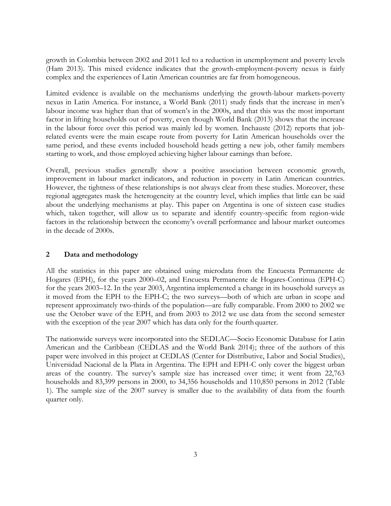growth in Colombia between 2002 and 2011 led to a reduction in unemployment and poverty levels (Ham 2013). This mixed evidence indicates that the growth-employment-poverty nexus is fairly complex and the experiences of Latin American countries are far from homogeneous.

Limited evidence is available on the mechanisms underlying the growth-labour markets-poverty nexus in Latin America. For instance, a World Bank (2011) study finds that the increase in men's labour income was higher than that of women's in the 2000s, and that this was the most important factor in lifting households out of poverty, even though World Bank (2013) shows that the increase in the labour force over this period was mainly led by women. Inchauste (2012) reports that jobrelated events were the main escape route from poverty for Latin American households over the same period, and these events included household heads getting a new job, other family members starting to work, and those employed achieving higher labour earnings than before.

Overall, previous studies generally show a positive association between economic growth, improvement in labour market indicators, and reduction in poverty in Latin American countries. However, the tightness of these relationships is not always clear from these studies. Moreover, these regional aggregates mask the heterogeneity at the country level, which implies that little can be said about the underlying mechanisms at play. This paper on Argentina is one of sixteen case studies which, taken together, will allow us to separate and identify country-specific from region-wide factors in the relationship between the economy's overall performance and labour market outcomes in the decade of 2000s.

#### **2 Data and methodology**

All the statistics in this paper are obtained using microdata from the Encuesta Permanente de Hogares (EPH), for the years 2000–02, and Encuesta Permanente de Hogares-Continua (EPH-C) for the years 2003–12. In the year 2003, Argentina implemented a change in its household surveys as it moved from the EPH to the EPH-C; the two surveys—both of which are urban in scope and represent approximately two-thirds of the population—are fully comparable. From 2000 to 2002 we use the October wave of the EPH, and from 2003 to 2012 we use data from the second semester with the exception of the year 2007 which has data only for the fourth quarter.

The nationwide surveys were incorporated into the SEDLAC—Socio Economic Database for Latin American and the Caribbean (CEDLAS and the World Bank 2014); three of the authors of this paper were involved in this project at CEDLAS (Center for Distributive, Labor and Social Studies), Universidad Nacional de la Plata in Argentina. The EPH and EPH-C only cover the biggest urban areas of the country. The survey's sample size has increased over time; it went from 22,763 households and 83,399 persons in 2000, to 34,356 households and 110,850 persons in 2012 (Table 1). The sample size of the 2007 survey is smaller due to the availability of data from the fourth quarter only.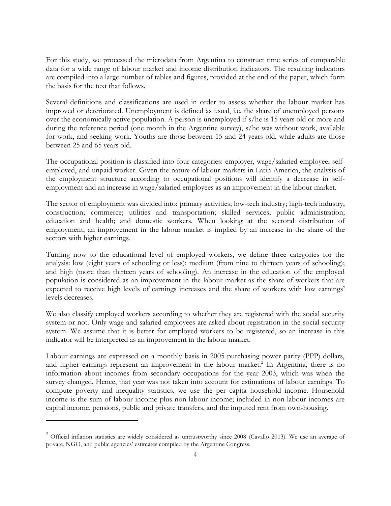For this study, we processed the microdata from Argentina to construct time series of comparable data for a wide range of labour market and income distribution indicators. The resulting indicators are compiled into a large number of tables and figures, provided at the end of the paper, which form the basis for the text that follows.

Several definitions and classifications are used in order to assess whether the labour market has improved or deteriorated. Unemployment is defined as usual, i.e. the share of unemployed persons over the economically active population. A person is unemployed if s/he is 15 years old or more and during the reference period (one month in the Argentine survey), s/he was without work, available for work, and seeking work. Youths are those between 15 and 24 years old, while adults are those between 25 and 65 years old.

The occupational position is classified into four categories: employer, wage/salaried employee, selfemployed, and unpaid worker. Given the nature of labour markets in Latin America, the analysis of the employment structure according to occupational positions will identify a decrease in selfemployment and an increase in wage/salaried employees as an improvement in the labour market.

The sector of employment was divided into: primary activities; low-tech industry; high-tech industry; construction; commerce; utilities and transportation; skilled services; public administration; education and health; and domestic workers. When looking at the sectoral distribution of employment, an improvement in the labour market is implied by an increase in the share of the sectors with higher earnings.

Turning now to the educational level of employed workers, we define three categories for the analysis: low (eight years of schooling or less); medium (from nine to thirteen years of schooling); and high (more than thirteen years of schooling). An increase in the education of the employed population is considered as an improvement in the labour market as the share of workers that are expected to receive high levels of earnings increases and the share of workers with low earnings' levels decreases.

We also classify employed workers according to whether they are registered with the social security system or not. Only wage and salaried employees are asked about registration in the social security system. We assume that it is better for employed workers to be registered, so an increase in this indicator will be interpreted as an improvement in the labour market.

Labour earnings are expressed on a monthly basis in 2005 purchasing power parity (PPP) dollars, and higher earnings represent an improvement in the labour market.<sup>2</sup> In Argentina, there is no information about incomes from secondary occupations for the year 2003, which was when the survey changed. Hence, that year was not taken into account for estimations of labour earnings. To compute poverty and inequality statistics, we use the per capita household income. Household income is the sum of labour income plus non-labour income; included in non-labour incomes are capital income, pensions, public and private transfers, and the imputed rent from own-housing.

 $\overline{a}$ 

 $2$  Official inflation statistics are widely considered as untrustworthy since 2008 (Cavallo 2013). We use an average of private, NGO, and public agencies' estimates compiled by the Argentine Congress.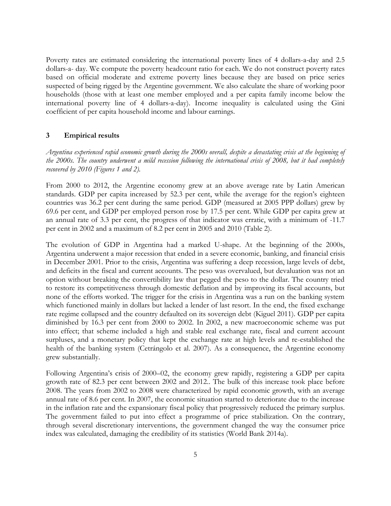Poverty rates are estimated considering the international poverty lines of 4 dollars-a-day and 2.5 dollars-a- day. We compute the poverty headcount ratio for each. We do not construct poverty rates based on official moderate and extreme poverty lines because they are based on price series suspected of being rigged by the Argentine government. We also calculate the share of working poor households (those with at least one member employed and a per capita family income below the international poverty line of 4 dollars-a-day). Income inequality is calculated using the Gini coefficient of per capita household income and labour earnings.

#### **3 Empirical results**

*Argentina experienced rapid economic growth during the 2000s overall, despite a devastating crisis at the beginning of the 2000s. The country underwent a mild recession following the international crisis of 2008, but it had completely recovered by 2010 (Figures 1 and 2).* 

From 2000 to 2012, the Argentine economy grew at an above average rate by Latin American standards. GDP per capita increased by 52.3 per cent, while the average for the region's eighteen countries was 36.2 per cent during the same period. GDP (measured at 2005 PPP dollars) grew by 69.6 per cent, and GDP per employed person rose by 17.5 per cent. While GDP per capita grew at an annual rate of 3.3 per cent, the progress of that indicator was erratic, with a minimum of -11.7 per cent in 2002 and a maximum of 8.2 per cent in 2005 and 2010 (Table 2).

The evolution of GDP in Argentina had a marked U-shape. At the beginning of the 2000s, Argentina underwent a major recession that ended in a severe economic, banking, and financial crisis in December 2001. Prior to the crisis, Argentina was suffering a deep recession, large levels of debt, and deficits in the fiscal and current accounts. The peso was overvalued, but devaluation was not an option without breaking the convertibility law that pegged the peso to the dollar. The country tried to restore its competitiveness through domestic deflation and by improving its fiscal accounts, but none of the efforts worked. The trigger for the crisis in Argentina was a run on the banking system which functioned mainly in dollars but lacked a lender of last resort. In the end, the fixed exchange rate regime collapsed and the country defaulted on its sovereign debt (Kiguel 2011). GDP per capita diminished by 16.3 per cent from 2000 to 2002. In 2002, a new macroeconomic scheme was put into effect; that scheme included a high and stable real exchange rate, fiscal and current account surpluses, and a monetary policy that kept the exchange rate at high levels and re-established the health of the banking system (Cetrángolo et al. 2007). As a consequence, the Argentine economy grew substantially.

Following Argentina's crisis of 2000–02, the economy grew rapidly, registering a GDP per capita growth rate of 82.3 per cent between 2002 and 2012.. The bulk of this increase took place before 2008. The years from 2002 to 2008 were characterized by rapid economic growth, with an average annual rate of 8.6 per cent. In 2007, the economic situation started to deteriorate due to the increase in the inflation rate and the expansionary fiscal policy that progressively reduced the primary surplus. The government failed to put into effect a programme of price stabilization. On the contrary, through several discretionary interventions, the government changed the way the consumer price index was calculated, damaging the credibility of its statistics (World Bank 2014a).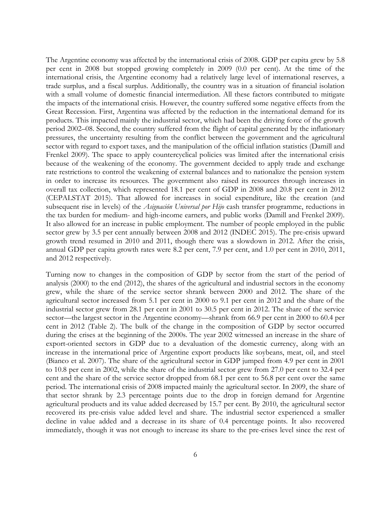The Argentine economy was affected by the international crisis of 2008. GDP per capita grew by 5.8 per cent in 2008 but stopped growing completely in 2009 (0.0 per cent). At the time of the international crisis, the Argentine economy had a relatively large level of international reserves, a trade surplus, and a fiscal surplus. Additionally, the country was in a situation of financial isolation with a small volume of domestic financial intermediation. All these factors contributed to mitigate the impacts of the international crisis. However, the country suffered some negative effects from the Great Recession. First, Argentina was affected by the reduction in the international demand for its products. This impacted mainly the industrial sector, which had been the driving force of the growth period 2002–08. Second, the country suffered from the flight of capital generated by the inflationary pressures, the uncertainty resulting from the conflict between the government and the agricultural sector with regard to export taxes, and the manipulation of the official inflation statistics (Damill and Frenkel 2009). The space to apply countercyclical policies was limited after the international crisis because of the weakening of the economy. The government decided to apply trade and exchange rate restrictions to control the weakening of external balances and to nationalize the pension system in order to increase its resources. The government also raised its resources through increases in overall tax collection, which represented 18.1 per cent of GDP in 2008 and 20.8 per cent in 2012 (CEPALSTAT 2015). That allowed for increases in social expenditure, like the creation (and subsequent rise in levels) of the *Asignación Universal por Hijo* cash transfer programme, reductions in the tax burden for medium- and high-income earners, and public works (Damill and Frenkel 2009). It also allowed for an increase in public employment. The number of people employed in the public sector grew by 3.5 per cent annually between 2008 and 2012 (INDEC 2015). The pre-crisis upward growth trend resumed in 2010 and 2011, though there was a slowdown in 2012. After the crisis, annual GDP per capita growth rates were 8.2 per cent, 7.9 per cent, and 1.0 per cent in 2010, 2011, and 2012 respectively.

Turning now to changes in the composition of GDP by sector from the start of the period of analysis (2000) to the end (2012), the shares of the agricultural and industrial sectors in the economy grew, while the share of the service sector shrank between 2000 and 2012. The share of the agricultural sector increased from 5.1 per cent in 2000 to 9.1 per cent in 2012 and the share of the industrial sector grew from 28.1 per cent in 2001 to 30.5 per cent in 2012. The share of the service sector—the largest sector in the Argentine economy—shrank from 66.9 per cent in 2000 to 60.4 per cent in 2012 (Table 2). The bulk of the change in the composition of GDP by sector occurred during the crises at the beginning of the 2000s. The year 2002 witnessed an increase in the share of export-oriented sectors in GDP due to a devaluation of the domestic currency, along with an increase in the international price of Argentine export products like soybeans, meat, oil, and steel (Bianco et al. 2007). The share of the agricultural sector in GDP jumped from 4.9 per cent in 2001 to 10.8 per cent in 2002, while the share of the industrial sector grew from 27.0 per cent to 32.4 per cent and the share of the service sector dropped from 68.1 per cent to 56.8 per cent over the same period. The international crisis of 2008 impacted mainly the agricultural sector. In 2009, the share of that sector shrank by 2.3 percentage points due to the drop in foreign demand for Argentine agricultural products and its value added decreased by 15.7 per cent. By 2010, the agricultural sector recovered its pre-crisis value added level and share. The industrial sector experienced a smaller decline in value added and a decrease in its share of 0.4 percentage points. It also recovered immediately, though it was not enough to increase its share to the pre-crises level since the rest of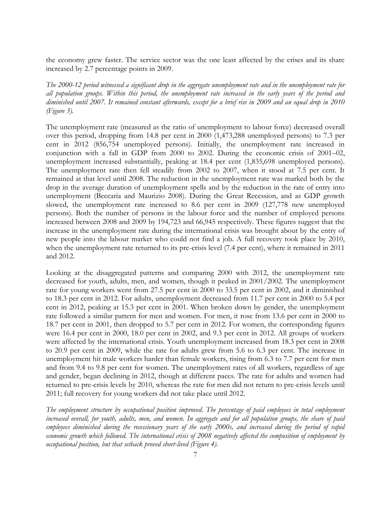the economy grew faster. The service sector was the one least affected by the crises and its share increased by 2.7 percentage points in 2009.

*The 2000-12 period witnessed a significant drop in the aggregate unemployment rate and in the unemployment rate for all population groups. Within this period, the unemployment rate increased in the early years of the period and diminished until 2007. It remained constant afterwards, except for a brief rise in 2009 and an equal drop in 2010 (Figure 3).*

The unemployment rate (measured as the ratio of unemployment to labour force) decreased overall over this period, dropping from 14.8 per cent in 2000 (1,473,288 unemployed persons) to 7.3 per cent in 2012 (856,754 unemployed persons). Initially, the unemployment rate increased in conjunction with a fall in GDP from 2000 to 2002. During the economic crisis of 2001–02, unemployment increased substantially, peaking at 18.4 per cent (1,835,698 unemployed persons). The unemployment rate then fell steadily from 2002 to 2007, when it stood at 7.5 per cent. It remained at that level until 2008. The reduction in the unemployment rate was marked both by the drop in the average duration of unemployment spells and by the reduction in the rate of entry into unemployment (Beccaria and Maurizio 2008). During the Great Recession, and as GDP growth slowed, the unemployment rate increased to 8.6 per cent in 2009 (127,778 new unemployed persons). Both the number of persons in the labour force and the number of employed persons increased between 2008 and 2009 by 194,723 and 66,945 respectively. These figures suggest that the increase in the unemployment rate during the international crisis was brought about by the entry of new people into the labour market who could not find a job. A full recovery took place by 2010, when the unemployment rate returned to its pre-crisis level (7.4 per cent), where it remained in 2011 and 2012.

Looking at the disaggregated patterns and comparing 2000 with 2012, the unemployment rate decreased for youth, adults, men, and women, though it peaked in 2001/2002. The unemployment rate for young workers went from 27.5 per cent in 2000 to 33.5 per cent in 2002, and it diminished to 18.3 per cent in 2012. For adults, unemployment decreased from 11.7 per cent in 2000 to 5.4 per cent in 2012, peaking at 15.3 per cent in 2001. When broken down by gender, the unemployment rate followed a similar pattern for men and women. For men, it rose from 13.6 per cent in 2000 to 18.7 per cent in 2001, then dropped to 5.7 per cent in 2012. For women, the corresponding figures were 16.4 per cent in 2000, 18.0 per cent in 2002, and 9.3 per cent in 2012. All groups of workers were affected by the international crisis. Youth unemployment increased from 18.3 per cent in 2008 to 20.9 per cent in 2009, while the rate for adults grew from 5.6 to 6.3 per cent. The increase in unemployment hit male workers harder than female workers, rising from 6.3 to 7.7 per cent for men and from 9.4 to 9.8 per cent for women. The unemployment rates of all workers, regardless of age and gender, began declining in 2012, though at different paces. The rate for adults and women had returned to pre-crisis levels by 2010, whereas the rate for men did not return to pre-crisis levels until 2011; full recovery for young workers did not take place until 2012.

*The employment structure by occupational position improved. The percentage of paid employees in total employment increased overall, for youth, adults, men, and women. In aggregate and for all population groups, the share of paid employees diminished during the recessionary years of the early 2000s, and increased during the period of rapid economic growth which followed. The international crisis of 2008 negatively affected the composition of employment by occupational position, but that setback proved short-lived (Figure 4).*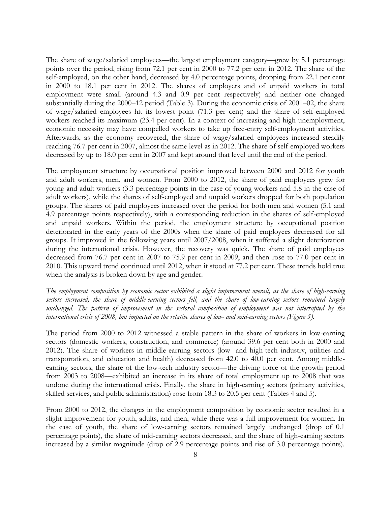The share of wage/salaried employees—the largest employment category—grew by 5.1 percentage points over the period, rising from 72.1 per cent in 2000 to 77.2 per cent in 2012. The share of the self-employed, on the other hand, decreased by 4.0 percentage points, dropping from 22.1 per cent in 2000 to 18.1 per cent in 2012. The shares of employers and of unpaid workers in total employment were small (around 4.3 and 0.9 per cent respectively) and neither one changed substantially during the 2000–12 period (Table 3). During the economic crisis of 2001–02, the share of wage/salaried employees hit its lowest point (71.3 per cent) and the share of self-employed workers reached its maximum (23.4 per cent). In a context of increasing and high unemployment, economic necessity may have compelled workers to take up free-entry self-employment activities. Afterwards, as the economy recovered, the share of wage/salaried employees increased steadily reaching 76.7 per cent in 2007, almost the same level as in 2012. The share of self-employed workers decreased by up to 18.0 per cent in 2007 and kept around that level until the end of the period.

The employment structure by occupational position improved between 2000 and 2012 for youth and adult workers, men, and women. From 2000 to 2012, the share of paid employees grew for young and adult workers (3.3 percentage points in the case of young workers and 5.8 in the case of adult workers), while the shares of self-employed and unpaid workers dropped for both population groups. The shares of paid employees increased over the period for both men and women (5.1 and 4.9 percentage points respectively), with a corresponding reduction in the shares of self-employed and unpaid workers. Within the period, the employment structure by occupational position deteriorated in the early years of the 2000s when the share of paid employees decreased for all groups. It improved in the following years until 2007/2008, when it suffered a slight deterioration during the international crisis. However, the recovery was quick. The share of paid employees decreased from 76.7 per cent in 2007 to 75.9 per cent in 2009, and then rose to 77.0 per cent in 2010. This upward trend continued until 2012, when it stood at 77.2 per cent. These trends hold true when the analysis is broken down by age and gender.

*The employment composition by economic sector exhibited a slight improvement overall, as the share of high-earning sectors increased, the share of middle-earning sectors fell, and the share of low-earning sectors remained largely unchanged. The pattern of improvement in the sectoral composition of employment was not interrupted by the international crisis of 2008, but impacted on the relative shares of low- and mid-earning sectors (Figure 5).*

The period from 2000 to 2012 witnessed a stable pattern in the share of workers in low-earning sectors (domestic workers, construction, and commerce) (around 39.6 per cent both in 2000 and 2012). The share of workers in middle-earning sectors (low- and high-tech industry, utilities and transportation, and education and health) decreased from 42.0 to 40.0 per cent. Among middleearning sectors, the share of the low-tech industry sector—the driving force of the growth period from 2003 to 2008—exhibited an increase in its share of total employment up to 2008 that was undone during the international crisis. Finally, the share in high-earning sectors (primary activities, skilled services, and public administration) rose from 18.3 to 20.5 per cent (Tables 4 and 5).

From 2000 to 2012, the changes in the employment composition by economic sector resulted in a slight improvement for youth, adults, and men, while there was a full improvement for women. In the case of youth, the share of low-earning sectors remained largely unchanged (drop of 0.1 percentage points), the share of mid-earning sectors decreased, and the share of high-earning sectors increased by a similar magnitude (drop of 2.9 percentage points and rise of 3.0 percentage points).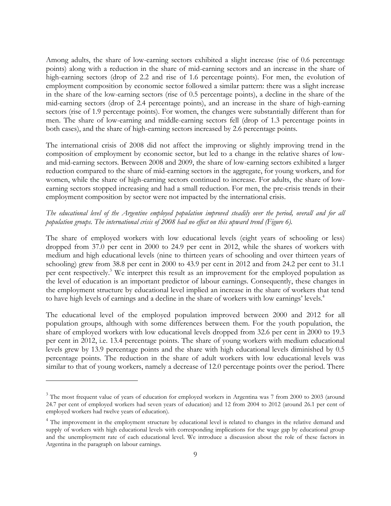Among adults, the share of low-earning sectors exhibited a slight increase (rise of 0.6 percentage points) along with a reduction in the share of mid-earning sectors and an increase in the share of high-earning sectors (drop of 2.2 and rise of 1.6 percentage points). For men, the evolution of employment composition by economic sector followed a similar pattern: there was a slight increase in the share of the low-earning sectors (rise of 0.5 percentage points), a decline in the share of the mid-earning sectors (drop of 2.4 percentage points), and an increase in the share of high-earning sectors (rise of 1.9 percentage points). For women, the changes were substantially different than for men. The share of low-earning and middle-earning sectors fell (drop of 1.3 percentage points in both cases), and the share of high-earning sectors increased by 2.6 percentage points.

The international crisis of 2008 did not affect the improving or slightly improving trend in the composition of employment by economic sector, but led to a change in the relative shares of lowand mid-earning sectors. Between 2008 and 2009, the share of low-earning sectors exhibited a larger reduction compared to the share of mid-earning sectors in the aggregate, for young workers, and for women, while the share of high-earning sectors continued to increase. For adults, the share of lowearning sectors stopped increasing and had a small reduction. For men, the pre-crisis trends in their employment composition by sector were not impacted by the international crisis.

### *The educational level of the Argentine employed population improved steadily over the period, overall and for all population groups. The international crisis of 2008 had no effect on this upward trend (Figure 6).*

The share of employed workers with low educational levels (eight years of schooling or less) dropped from 37.0 per cent in 2000 to 24.9 per cent in 2012, while the shares of workers with medium and high educational levels (nine to thirteen years of schooling and over thirteen years of schooling) grew from 38.8 per cent in 2000 to 43.9 per cent in 2012 and from 24.2 per cent to 31.1 per cent respectively.<sup>3</sup> We interpret this result as an improvement for the employed population as the level of education is an important predictor of labour earnings. Consequently, these changes in the employment structure by educational level implied an increase in the share of workers that tend to have high levels of earnings and a decline in the share of workers with low earnings' levels.<sup>4</sup>

The educational level of the employed population improved between 2000 and 2012 for all population groups, although with some differences between them. For the youth population, the share of employed workers with low educational levels dropped from 32.6 per cent in 2000 to 19.3 per cent in 2012, i.e. 13.4 percentage points. The share of young workers with medium educational levels grew by 13.9 percentage points and the share with high educational levels diminished by 0.5 percentage points. The reduction in the share of adult workers with low educational levels was similar to that of young workers, namely a decrease of 12.0 percentage points over the period. There

 $\overline{a}$ 

 $3$  The most frequent value of years of education for employed workers in Argentina was 7 from 2000 to 2003 (around 24.7 per cent of employed workers had seven years of education) and 12 from 2004 to 2012 (around 26.1 per cent of employed workers had twelve years of education).

<sup>&</sup>lt;sup>4</sup> The improvement in the employment structure by educational level is related to changes in the relative demand and supply of workers with high educational levels with corresponding implications for the wage gap by educational group and the unemployment rate of each educational level. We introduce a discussion about the role of these factors in Argentina in the paragraph on labour earnings.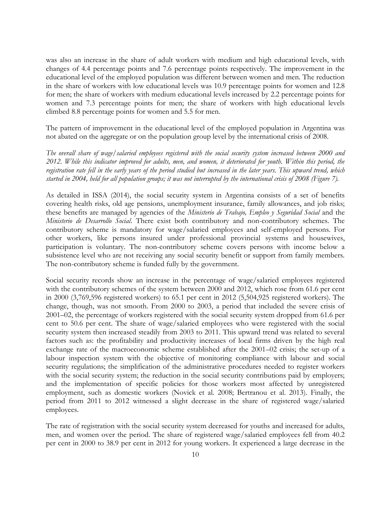was also an increase in the share of adult workers with medium and high educational levels, with changes of 4.4 percentage points and 7.6 percentage points respectively. The improvement in the educational level of the employed population was different between women and men. The reduction in the share of workers with low educational levels was 10.9 percentage points for women and 12.8 for men; the share of workers with medium educational levels increased by 2.2 percentage points for women and 7.3 percentage points for men; the share of workers with high educational levels climbed 8.8 percentage points for women and 5.5 for men.

The pattern of improvement in the educational level of the employed population in Argentina was not abated on the aggregate or on the population group level by the international crisis of 2008.

*The overall share of wage/salaried employees registered with the social security system increased between 2000 and 2012. While this indicator improved for adults, men, and women, it deteriorated for youth. Within this period, the registration rate fell in the early years of the period studied but increased in the later years. This upward trend, which started in 2004, held for all population groups; it was not interrupted by the international crisis of 2008 (Figure 7).*

As detailed in ISSA (2014), the social security system in Argentina consists of a set of benefits covering health risks, old age pensions, unemployment insurance, family allowances, and job risks; these benefits are managed by agencies of the *Ministerio de Trabajo, Empleo y Seguridad Social* and the *Ministerio de Desarrollo Social*. There exist both contributory and non-contributory schemes. The contributory scheme is mandatory for wage/salaried employees and self-employed persons. For other workers, like persons insured under professional provincial systems and housewives, participation is voluntary. The non-contributory scheme covers persons with income below a subsistence level who are not receiving any social security benefit or support from family members. The non-contributory scheme is funded fully by the government.

Social security records show an increase in the percentage of wage/salaried employees registered with the contributory schemes of the system between 2000 and 2012, which rose from 61.6 per cent in 2000 (3,769,596 registered workers) to 65.1 per cent in 2012 (5,504,925 registered workers). The change, though, was not smooth. From 2000 to 2003, a period that included the severe crisis of 2001–02, the percentage of workers registered with the social security system dropped from 61.6 per cent to 50.6 per cent. The share of wage/salaried employees who were registered with the social security system then increased steadily from 2003 to 2011. This upward trend was related to several factors such as: the profitability and productivity increases of local firms driven by the high real exchange rate of the macroeconomic scheme established after the 2001–02 crisis; the set-up of a labour inspection system with the objective of monitoring compliance with labour and social security regulations; the simplification of the administrative procedures needed to register workers with the social security system; the reduction in the social security contributions paid by employers; and the implementation of specific policies for those workers most affected by unregistered employment, such as domestic workers (Novick et al. 2008; Bertranou et al. 2013). Finally, the period from 2011 to 2012 witnessed a slight decrease in the share of registered wage/salaried employees.

The rate of registration with the social security system decreased for youths and increased for adults, men, and women over the period. The share of registered wage/salaried employees fell from 40.2 per cent in 2000 to 38.9 per cent in 2012 for young workers. It experienced a large decrease in the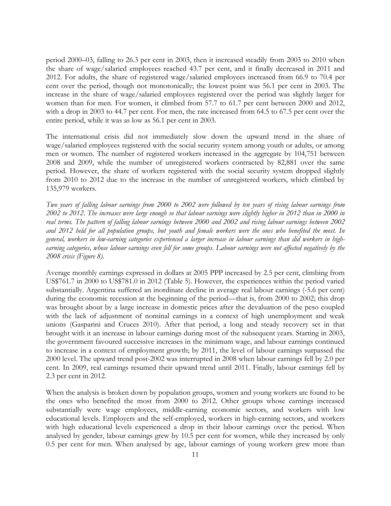period 2000–03, falling to 26.3 per cent in 2003, then it increased steadily from 2003 to 2010 when the share of wage/salaried employees reached 43.7 per cent, and it finally decreased in 2011 and 2012. For adults, the share of registered wage/salaried employees increased from 66.9 to 70.4 per cent over the period, though not monotonically; the lowest point was 56.1 per cent in 2003. The increase in the share of wage/salaried employees registered over the period was slightly larger for women than for men. For women, it climbed from 57.7 to 61.7 per cent between 2000 and 2012, with a drop in 2003 to 44.7 per cent. For men, the rate increased from 64.5 to 67.5 per cent over the entire period, while it was as low as 56.1 per cent in 2003.

The international crisis did not immediately slow down the upward trend in the share of wage/salaried employees registered with the social security system among youth or adults, or among men or women. The number of registered workers increased in the aggregate by 104,751 between 2008 and 2009, while the number of unregistered workers contracted by 82,881 over the same period. However, the share of workers registered with the social security system dropped slightly from 2010 to 2012 due to the increase in the number of unregistered workers, which climbed by 135,979 workers.

*Two years of falling labour earnings from 2000 to 2002 were followed by ten years of rising labour earnings from 2002 to 2012. The increases were large enough so that labour earnings were slightly higher in 2012 than in 2000 in real terms. The pattern of falling labour earnings between 2000 and 2002 and rising labour earnings between 2002 and 2012 held for all population groups, but youth and female workers were the ones who benefited the most. In general, workers in low-earning categories experienced a larger increase in labour earnings than did workers in highearning categories, whose labour earnings even fell for some groups. Labour earnings were not affected negatively by the 2008 crisis (Figure 8)*.

Average monthly earnings expressed in dollars at 2005 PPP increased by 2.5 per cent, climbing from US\$761.7 in 2000 to US\$781.0 in 2012 (Table 5). However, the experiences within the period varied substantially. Argentina suffered an inordinate decline in average real labour earnings (-5.6 per cent) during the economic recession at the beginning of the period—that is, from 2000 to 2002; this drop was brought about by a large increase in domestic prices after the devaluation of the peso coupled with the lack of adjustment of nominal earnings in a context of high unemployment and weak unions (Gasparini and Cruces 2010). After that period, a long and steady recovery set in that brought with it an increase in labour earnings during most of the subsequent years. Starting in 2003, the government favoured successive increases in the minimum wage, and labour earnings continued to increase in a context of employment growth; by 2011, the level of labour earnings surpassed the 2000 level. The upward trend post-2002 was interrupted in 2008 when labour earnings fell by 2.0 per cent. In 2009, real earnings resumed their upward trend until 2011. Finally, labour earnings fell by 2.3 per cent in 2012.

When the analysis is broken down by population groups, women and young workers are found to be the ones who benefited the most from 2000 to 2012. Other groups whose earnings increased substantially were wage employees, middle-earning economic sectors, and workers with low educational levels. Employers and the self-employed, workers in high-earning sectors, and workers with high educational levels experienced a drop in their labour earnings over the period. When analysed by gender, labour earnings grew by 10.5 per cent for women, while they increased by only 0.5 per cent for men. When analysed by age, labour earnings of young workers grew more than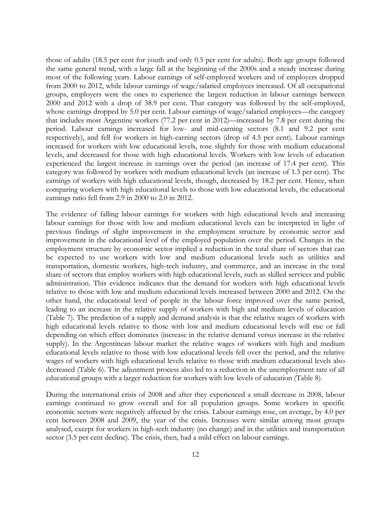those of adults (18.5 per cent for youth and only 0.5 per cent for adults). Both age groups followed the same general trend, with a large fall at the beginning of the 2000s and a steady increase during most of the following years. Labour earnings of self-employed workers and of employers dropped from 2000 to 2012, while labour earnings of wage/salaried employees increased. Of all occupational groups, employers were the ones to experience the largest reduction in labour earnings between 2000 and 2012 with a drop of 38.9 per cent. That category was followed by the self-employed, whose earnings dropped by 5.0 per cent. Labour earnings of wage/salaried employees—the category that includes most Argentine workers (77.2 per cent in 2012)—increased by 7.8 per cent during the period. Labour earnings increased for low- and mid-earning sectors (8.1 and 9.2 per cent respectively), and fell for workers in high-earning sectors (drop of 4.5 per cent). Labour earnings increased for workers with low educational levels, rose slightly for those with medium educational levels, and decreased for those with high educational levels. Workers with low levels of education experienced the largest increase in earnings over the period (an increase of 17.4 per cent). This category was followed by workers with medium educational levels (an increase of 1.3 per cent). The earnings of workers with high educational levels, though, decreased by 18.2 per cent. Hence, when comparing workers with high educational levels to those with low educational levels, the educational earnings ratio fell from 2.9 in 2000 to 2.0 in 2012.

The evidence of falling labour earnings for workers with high educational levels and increasing labour earnings for those with low and medium educational levels can be interpreted in light of previous findings of slight improvement in the employment structure by economic sector and improvement in the educational level of the employed population over the period. Changes in the employment structure by economic sector implied a reduction in the total share of sectors that can be expected to use workers with low and medium educational levels such as utilities and transportation, domestic workers, high-tech industry, and commerce, and an increase in the total share of sectors that employ workers with high educational levels, such as skilled services and public administration. This evidence indicates that the demand for workers with high educational levels relative to those with low and medium educational levels increased between 2000 and 2012. On the other hand, the educational level of people in the labour force improved over the same period, leading to an increase in the relative supply of workers with high and medium levels of education (Table 7). The prediction of a supply and demand analysis is that the relative wages of workers with high educational levels relative to those with low and medium educational levels will rise or fall depending on which effect dominates (increase in the relative demand versus increase in the relative supply). In the Argentinean labour market the relative wages of workers with high and medium educational levels relative to those with low educational levels fell over the period, and the relative wages of workers with high educational levels relative to those with medium educational levels also decreased (Table 6). The adjustment process also led to a reduction in the unemployment rate of all educational groups with a larger reduction for workers with low levels of education (Table 8).

During the international crisis of 2008 and after they experienced a small decrease in 2008, labour earnings continued to grow overall and for all population groups. Some workers in specific economic sectors were negatively affected by the crisis. Labour earnings rose, on average, by 4.0 per cent between 2008 and 2009, the year of the crisis. Increases were similar among most groups analysed, except for workers in high-tech industry (no change) and in the utilities and transportation sector (3.5 per cent decline). The crisis, then, had a mild effect on labour earnings.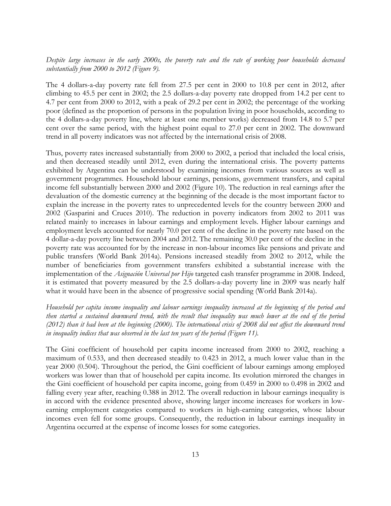### *Despite large increases in the early 2000s, the poverty rate and the rate of working poor households decreased substantially from 2000 to 2012 (Figure 9).*

The 4 dollars-a-day poverty rate fell from 27.5 per cent in 2000 to 10.8 per cent in 2012, after climbing to 45.5 per cent in 2002; the 2.5 dollars-a-day poverty rate dropped from 14.2 per cent to 4.7 per cent from 2000 to 2012, with a peak of 29.2 per cent in 2002; the percentage of the working poor (defined as the proportion of persons in the population living in poor households, according to the 4 dollars-a-day poverty line, where at least one member works) decreased from 14.8 to 5.7 per cent over the same period, with the highest point equal to 27.0 per cent in 2002. The downward trend in all poverty indicators was not affected by the international crisis of 2008.

Thus, poverty rates increased substantially from 2000 to 2002, a period that included the local crisis, and then decreased steadily until 2012, even during the international crisis. The poverty patterns exhibited by Argentina can be understood by examining incomes from various sources as well as government programmes. Household labour earnings, pensions, government transfers, and capital income fell substantially between 2000 and 2002 (Figure 10). The reduction in real earnings after the devaluation of the domestic currency at the beginning of the decade is the most important factor to explain the increase in the poverty rates to unprecedented levels for the country between 2000 and 2002 (Gasparini and Cruces 2010). The reduction in poverty indicators from 2002 to 2011 was related mainly to increases in labour earnings and employment levels. Higher labour earnings and employment levels accounted for nearly 70.0 per cent of the decline in the poverty rate based on the 4 dollar-a-day poverty line between 2004 and 2012. The remaining 30.0 per cent of the decline in the poverty rate was accounted for by the increase in non-labour incomes like pensions and private and public transfers (World Bank 2014a). Pensions increased steadily from 2002 to 2012, while the number of beneficiaries from government transfers exhibited a substantial increase with the implementation of the *Asignación Universal por Hijo* targeted cash transfer programme in 2008. Indeed, it is estimated that poverty measured by the 2.5 dollars-a-day poverty line in 2009 was nearly half what it would have been in the absence of progressive social spending (World Bank 2014a).

*Household per capita income inequality and labour earnings inequality increased at the beginning of the period and then started a sustained downward trend, with the result that inequality was much lower at the end of the period (2012) than it had been at the beginning (2000). The international crisis of 2008 did not affect the downward trend in inequality indices that was observed in the last ten years of the period (Figure 11).* 

The Gini coefficient of household per capita income increased from 2000 to 2002, reaching a maximum of 0.533, and then decreased steadily to 0.423 in 2012, a much lower value than in the year 2000 (0.504). Throughout the period, the Gini coefficient of labour earnings among employed workers was lower than that of household per capita income. Its evolution mirrored the changes in the Gini coefficient of household per capita income, going from 0.459 in 2000 to 0.498 in 2002 and falling every year after, reaching 0.388 in 2012. The overall reduction in labour earnings inequality is in accord with the evidence presented above, showing larger income increases for workers in lowearning employment categories compared to workers in high-earning categories, whose labour incomes even fell for some groups. Consequently, the reduction in labour earnings inequality in Argentina occurred at the expense of income losses for some categories.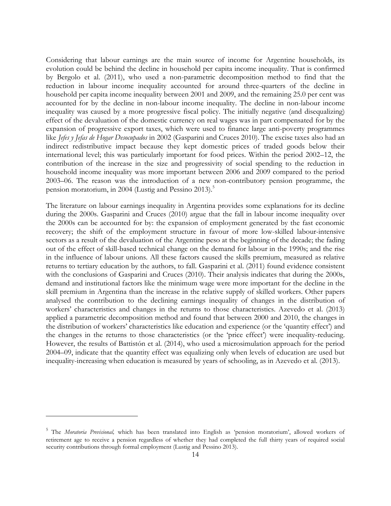Considering that labour earnings are the main source of income for Argentine households, its evolution could be behind the decline in household per capita income inequality. That is confirmed by Bergolo et al. (2011), who used a non-parametric decomposition method to find that the reduction in labour income inequality accounted for around three-quarters of the decline in household per capita income inequality between 2001 and 2009, and the remaining 25.0 per cent was accounted for by the decline in non-labour income inequality. The decline in non-labour income inequality was caused by a more progressive fiscal policy. The initially negative (and disequalizing) effect of the devaluation of the domestic currency on real wages was in part compensated for by the expansion of progressive export taxes, which were used to finance large anti-poverty programmes like *Jefes y Jefas de Hogar Desocupados* in 2002 (Gasparini and Cruces 2010). The excise taxes also had an indirect redistributive impact because they kept domestic prices of traded goods below their international level; this was particularly important for food prices. Within the period 2002–12, the contribution of the increase in the size and progressivity of social spending to the reduction in household income inequality was more important between 2006 and 2009 compared to the period 2003–06. The reason was the introduction of a new non-contributory pension programme, the pension moratorium, in 2004 (Lustig and Pessino 2013).<sup>5</sup>

The literature on labour earnings inequality in Argentina provides some explanations for its decline during the 2000s. Gasparini and Cruces (2010) argue that the fall in labour income inequality over the 2000s can be accounted for by: the expansion of employment generated by the fast economic recovery; the shift of the employment structure in favour of more low-skilled labour-intensive sectors as a result of the devaluation of the Argentine peso at the beginning of the decade; the fading out of the effect of skill-based technical change on the demand for labour in the 1990s; and the rise in the influence of labour unions. All these factors caused the skills premium, measured as relative returns to tertiary education by the authors, to fall. Gasparini et al. (2011) found evidence consistent with the conclusions of Gasparini and Cruces (2010). Their analysis indicates that during the 2000s, demand and institutional factors like the minimum wage were more important for the decline in the skill premium in Argentina than the increase in the relative supply of skilled workers. Other papers analysed the contribution to the declining earnings inequality of changes in the distribution of workers' characteristics and changes in the returns to those characteristics. Azevedo et al. (2013) applied a parametric decomposition method and found that between 2000 and 2010, the changes in the distribution of workers' characteristics like education and experience (or the 'quantity effect') and the changes in the returns to those characteristics (or the 'price effect') were inequality-reducing. However, the results of Battistón et al. (2014), who used a microsimulation approach for the period 2004–09, indicate that the quantity effect was equalizing only when levels of education are used but inequality-increasing when education is measured by years of schooling, as in Azevedo et al. (2013).

 $\overline{a}$ 

<sup>&</sup>lt;sup>5</sup> The *Moratoria Previsional*, which has been translated into English as 'pension moratorium', allowed workers of retirement age to receive a pension regardless of whether they had completed the full thirty years of required social security contributions through formal employment (Lustig and Pessino 2013).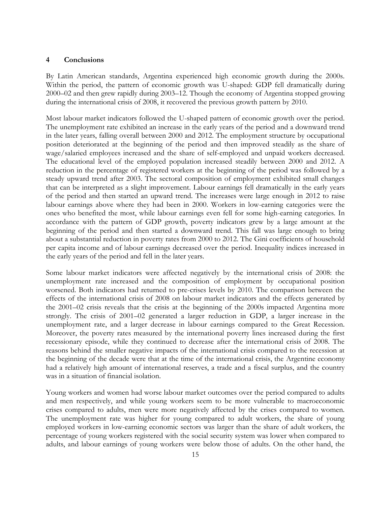#### **4 Conclusions**

By Latin American standards, Argentina experienced high economic growth during the 2000s. Within the period, the pattern of economic growth was U-shaped: GDP fell dramatically during 2000–02 and then grew rapidly during 2003–12. Though the economy of Argentina stopped growing during the international crisis of 2008, it recovered the previous growth pattern by 2010.

Most labour market indicators followed the U-shaped pattern of economic growth over the period. The unemployment rate exhibited an increase in the early years of the period and a downward trend in the later years, falling overall between 2000 and 2012. The employment structure by occupational position deteriorated at the beginning of the period and then improved steadily as the share of wage/salaried employees increased and the share of self-employed and unpaid workers decreased. The educational level of the employed population increased steadily between 2000 and 2012. A reduction in the percentage of registered workers at the beginning of the period was followed by a steady upward trend after 2003. The sectoral composition of employment exhibited small changes that can be interpreted as a slight improvement. Labour earnings fell dramatically in the early years of the period and then started an upward trend. The increases were large enough in 2012 to raise labour earnings above where they had been in 2000. Workers in low-earning categories were the ones who benefited the most, while labour earnings even fell for some high-earning categories*.* In accordance with the pattern of GDP growth, poverty indicators grew by a large amount at the beginning of the period and then started a downward trend. This fall was large enough to bring about a substantial reduction in poverty rates from 2000 to 2012. The Gini coefficients of household per capita income and of labour earnings decreased over the period. Inequality indices increased in the early years of the period and fell in the later years.

Some labour market indicators were affected negatively by the international crisis of 2008: the unemployment rate increased and the composition of employment by occupational position worsened. Both indicators had returned to pre-crises levels by 2010. The comparison between the effects of the international crisis of 2008 on labour market indicators and the effects generated by the 2001–02 crisis reveals that the crisis at the beginning of the 2000s impacted Argentina more strongly. The crisis of 2001–02 generated a larger reduction in GDP, a larger increase in the unemployment rate, and a larger decrease in labour earnings compared to the Great Recession. Moreover, the poverty rates measured by the international poverty lines increased during the first recessionary episode, while they continued to decrease after the international crisis of 2008. The reasons behind the smaller negative impacts of the international crisis compared to the recession at the beginning of the decade were that at the time of the international crisis, the Argentine economy had a relatively high amount of international reserves, a trade and a fiscal surplus, and the country was in a situation of financial isolation.

Young workers and women had worse labour market outcomes over the period compared to adults and men respectively, and while young workers seem to be more vulnerable to macroeconomic crises compared to adults, men were more negatively affected by the crises compared to women. The unemployment rate was higher for young compared to adult workers, the share of young employed workers in low-earning economic sectors was larger than the share of adult workers, the percentage of young workers registered with the social security system was lower when compared to adults, and labour earnings of young workers were below those of adults. On the other hand, the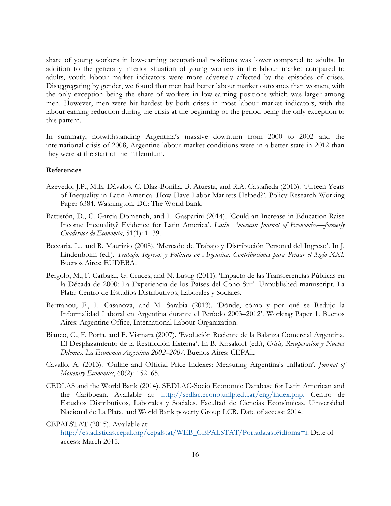share of young workers in low-earning occupational positions was lower compared to adults. In addition to the generally inferior situation of young workers in the labour market compared to adults, youth labour market indicators were more adversely affected by the episodes of crises. Disaggregating by gender, we found that men had better labour market outcomes than women, with the only exception being the share of workers in low-earning positions which was larger among men. However, men were hit hardest by both crises in most labour market indicators, with the labour earning reduction during the crisis at the beginning of the period being the only exception to this pattern.

In summary, notwithstanding Argentina's massive downturn from 2000 to 2002 and the international crisis of 2008, Argentine labour market conditions were in a better state in 2012 than they were at the start of the millennium.

#### **References**

- Azevedo, J.P., M.E. Dávalos, C. Díaz-Bonilla, B. Atuesta, and R.A. Castañeda (2013). 'Fifteen Years of Inequality in Latin America. How Have Labor Markets Helped?'. Policy Research Working Paper 6384. Washington, DC: The World Bank.
- Battistón, D., C. García-Domench, and L. Gasparini (2014). 'Could an Increase in Education Raise Income Inequality? Evidence for Latin America'. *Latin American Journal of Economics—formerly Cuadernos de Economía*, 51(1): 1–39.
- Beccaria, L., and R. Maurizio (2008). 'Mercado de Trabajo y Distribución Personal del Ingreso'. In J. Lindenboim (ed.), *Trabajo, Ingresos y Políticas en Argentina. Contribuciones para Pensar el Siglo XXI.* Buenos Aires: EUDEBA.
- Bergolo, M., F. Carbajal, G. Cruces, and N. Lustig (2011). 'Impacto de las Transferencias Públicas en la Década de 2000: La Experiencia de los Países del Cono Sur'. Unpublished manuscript. La Plata: Centro de Estudios Distributivos, Laborales y Sociales.
- Bertranou, F., L. Casanova, and M. Sarabia (2013). 'Dónde, cómo y por qué se Redujo la Informalidad Laboral en Argentina durante el Período 2003–2012'. Working Paper 1. Buenos Aires: Argentine Office, International Labour Organization.
- Bianco, C., F. Porta, and F. Vismara (2007). 'Evolución Reciente de la Balanza Comercial Argentina. El Desplazamiento de la Restricción Externa'. In B. Kosakoff (ed.), *Crisis, Recuperación y Nuevos Dilemas. La Economía Argentina 2002–2007*. Buenos Aires: CEPAL.
- Cavallo, A. (2013). 'Online and Official Price Indexes: Measuring Argentina's Inflation'. *Journal of Monetary Economics*, 60(2): 152–65.
- CEDLAS and the World Bank (2014). SEDLAC-Socio Economic Database for Latin American and the Caribbean. Available at: [http://sedlac.econo.unlp.edu.ar/eng/index.php.](http://sedlac.econo.unlp.edu.ar/eng/index.php) Centro de Estudios Distributivos, Laborales y Sociales, Facultad de Ciencias Económicas, Uinversidad Nacional de La Plata, and World Bank poverty Group LCR. Date of access: 2014.
- CEPALSTAT (2015). Available at: [http://estadisticas.cepal.org/cepalstat/WEB\\_CEPALSTAT/Portada.asp?idioma=i.](http://estadisticas.cepal.org/cepalstat/WEB_CEPALSTAT/Portada.asp?idioma=i) Date of access: March 2015.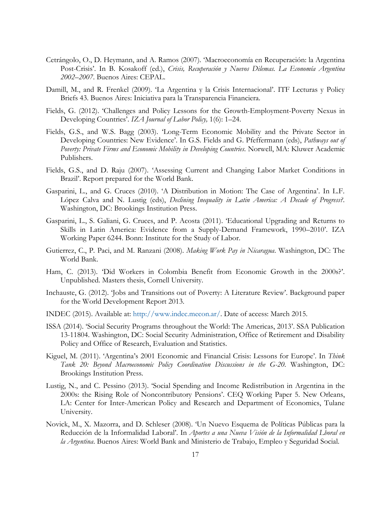- Cetrángolo, O., D. Heymann, and A. Ramos (2007). 'Macroeconomía en Recuperación: la Argentina Post-Crisis'. In B. Kosakoff (ed.), *Crisis, Recuperación y Nuevos Dilemas. La Economía Argentina 2002–2007*. Buenos Aires: CEPAL.
- Damill, M., and R. Frenkel (2009). 'La Argentina y la Crisis Internacional'. ITF Lecturas y Policy Briefs 43. Buenos Aires: Iniciativa para la Transparencia Financiera.
- Fields, G. (2012). 'Challenges and Policy Lessons for the Growth-Employment-Poverty Nexus in Developing Countries'. *IZA Journal of Labor Policy,* 1(6): 1–24.
- Fields, G.S., and W.S. Bagg (2003). 'Long-Term Economic Mobility and the Private Sector in Developing Countries: New Evidence'. In G.S. Fields and G. Pfeffermann (eds), *Pathways out of Poverty: Private Firms and Economic Mobility in Developing Countries*. Norwell, MA: Kluwer Academic Publishers.
- Fields, G.S., and D. Raju (2007). 'Assessing Current and Changing Labor Market Conditions in Brazil'. Report prepared for the World Bank.
- Gasparini, L., and G. Cruces (2010). 'A Distribution in Motion: The Case of Argentina'. In L.F. López Calva and N. Lustig (eds), *Declining Inequality in Latin America: A Decade of Progress?*. Washington, DC: Brookings Institution Press.
- Gasparini, L., S. Galiani, G. Cruces, and P. Acosta (2011). 'Educational Upgrading and Returns to Skills in Latin America: Evidence from a Supply-Demand Framework, 1990–2010'. IZA Working Paper 6244. Bonn: Institute for the Study of Labor.
- Gutierrez, C., P. Paci, and M. Ranzani (2008). *Making Work Pay in Nicaragua*. Washington, DC: The World Bank.
- Ham, C. (2013). 'Did Workers in Colombia Benefit from Economic Growth in the 2000s?'. Unpublished. Masters thesis, Cornell University.
- Inchauste, G. (2012). 'Jobs and Transitions out of Poverty: A Literature Review'. Background paper for the World Development Report 2013.
- INDEC (2015). Available at: [http://www.indec.mecon.ar/.](http://www.indec.mecon.ar/) Date of access: March 2015.
- ISSA (2014). 'Social Security Programs throughout the World: The Americas, 2013'. SSA Publication 13-11804. Washington, DC: Social Security Administration, Office of Retirement and Disability Policy and Office of Research, Evaluation and Statistics.
- Kiguel, M. (2011). 'Argentina's 2001 Economic and Financial Crisis: Lessons for Europe'. In *Think Tank 20: Beyond Macroeconomic Policy Coordination Discussions in the G-20*. Washington, DC: Brookings Institution Press.
- Lustig, N., and C. Pessino (2013). 'Social Spending and Income Redistribution in Argentina in the 2000s: the Rising Role of Noncontributory Pensions'. CEQ Working Paper 5. New Orleans, LA: Center for Inter-American Policy and Research and Department of Economics, Tulane University.
- Novick, M., X. Mazorra, and D. Schleser (2008). 'Un Nuevo Esquema de Políticas Públicas para la Reducción de la Informalidad Laboral'. In *Aportes a una Nueva Visión de la Informalidad Lboral en la Argentina*. Buenos Aires: World Bank and Ministerio de Trabajo, Empleo y Seguridad Social.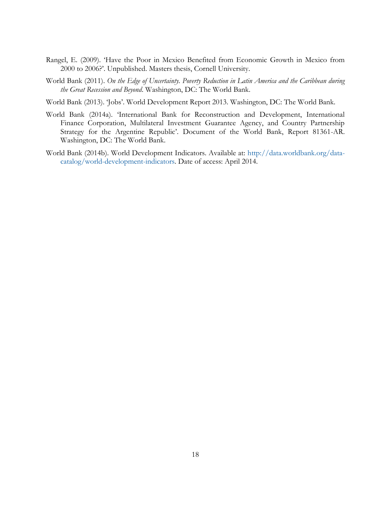- Rangel, E. (2009). 'Have the Poor in Mexico Benefited from Economic Growth in Mexico from 2000 to 2006?'. Unpublished. Masters thesis, Cornell University.
- World Bank (2011). *On the Edge of Uncertainty. Poverty Reduction in Latin America and the Caribbean during the Great Recession and Beyond*. Washington, DC: The World Bank.
- World Bank (2013). 'Jobs'. World Development Report 2013. Washington, DC: The World Bank.
- World Bank (2014a). 'International Bank for Reconstruction and Development, International Finance Corporation, Multilateral Investment Guarantee Agency, and Country Partnership Strategy for the Argentine Republic'. Document of the World Bank, Report 81361-AR. Washington, DC: The World Bank.
- World Bank (2014b). World Development Indicators. Available at: [http://data.worldbank.org/data](http://data.worldbank.org/data-catalog/world-development-indicators)[catalog/world-development-indicators.](http://data.worldbank.org/data-catalog/world-development-indicators) Date of access: April 2014.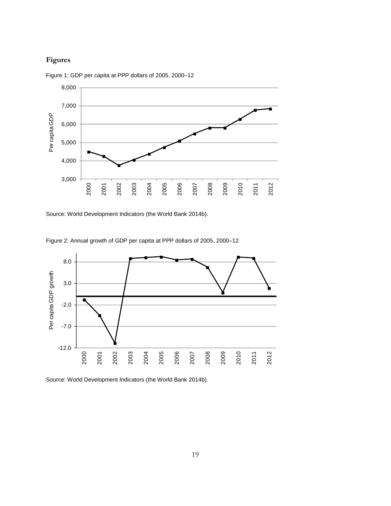# **Figures**



Figure 1: GDP per capita at PPP dollars of 2005, 2000–12

Source: World Development Indicators (the World Bank 2014b).





Source: World Development Indicators (the World Bank 2014b).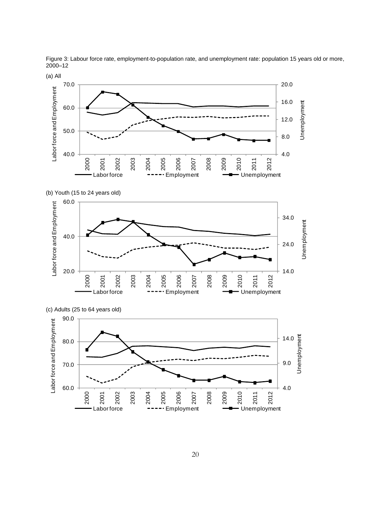

Figure 3: Labour force rate, employment-to-population rate, and unemployment rate: population 15 years old or more, 2000–12

(a) All

2007

Labor force **----** Employment --- Unemployment

2011

2001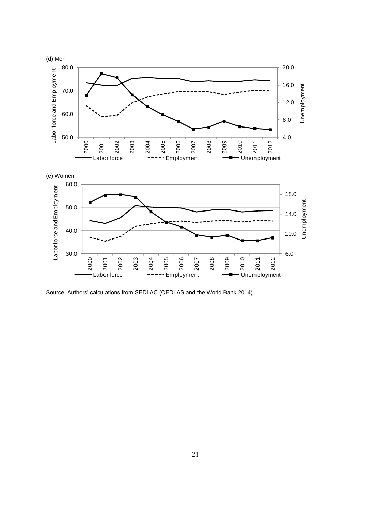

Source: Authors' calculations from SEDLAC (CEDLAS and the World Bank 2014).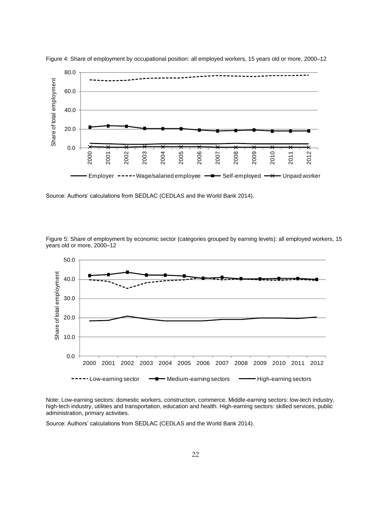

Figure 4: Share of employment by occupational position: all employed workers, 15 years old or more, 2000–12

Source: Authors' calculations from SEDLAC (CEDLAS and the World Bank 2014).

Figure 5: Share of employment by economic sector (categories grouped by earning levels): all employed workers, 15 years old or more, 2000–12



Note: Low-earning sectors: domestic workers, construction, commerce. Middle-earning sectors: low-tech industry, high-tech industry, utilities and transportation, education and health. High-earning sectors: skilled services, public administration, primary activities.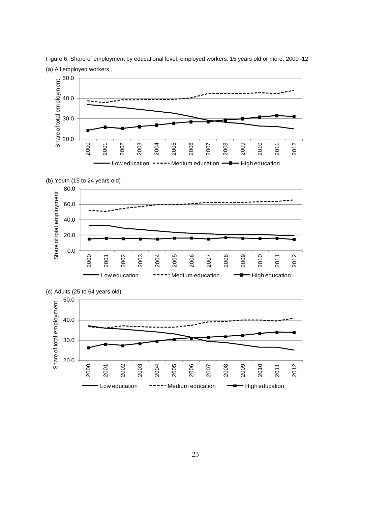

Figure 6: Share of employment by educational level: employed workers, 15 years old or more, 2000–12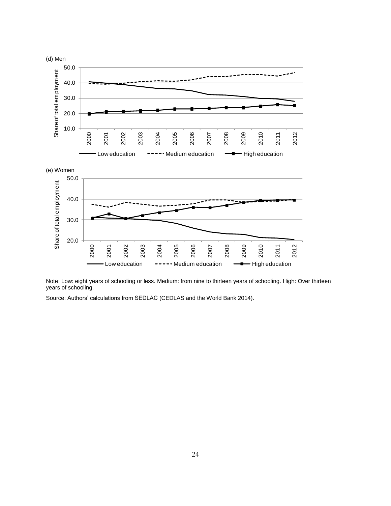

Note: Low: eight years of schooling or less. Medium: from nine to thirteen years of schooling. High: Over thirteen years of schooling.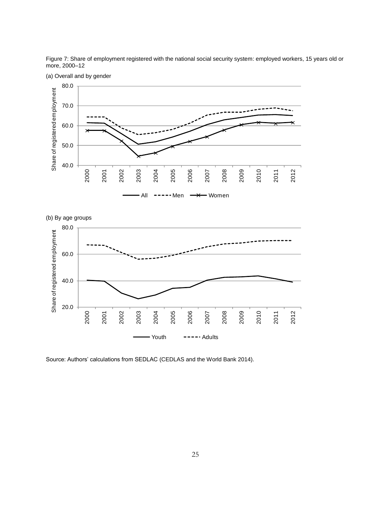Figure 7: Share of employment registered with the national social security system: employed workers, 15 years old or more, 2000–12



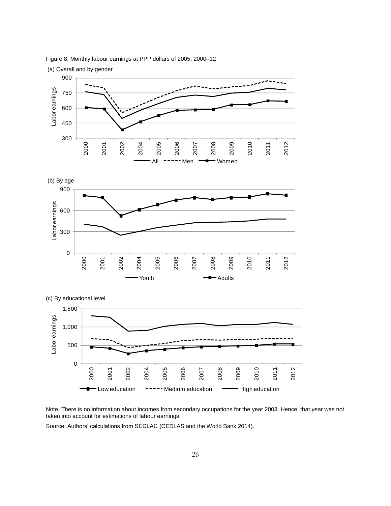

Figure 8: Monthly labour earnings at PPP dollars of 2005, 2000–12

Note: There is no information about incomes from secondary occupations for the year 2003. Hence, that year was not taken into account for estimations of labour earnings.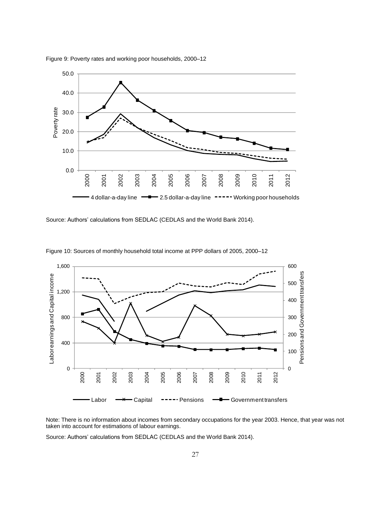

Figure 9: Poverty rates and working poor households, 2000–12

Source: Authors' calculations from SEDLAC (CEDLAS and the World Bank 2014).



Figure 10: Sources of monthly household total income at PPP dollars of 2005, 2000–12

Note: There is no information about incomes from secondary occupations for the year 2003. Hence, that year was not taken into account for estimations of labour earnings.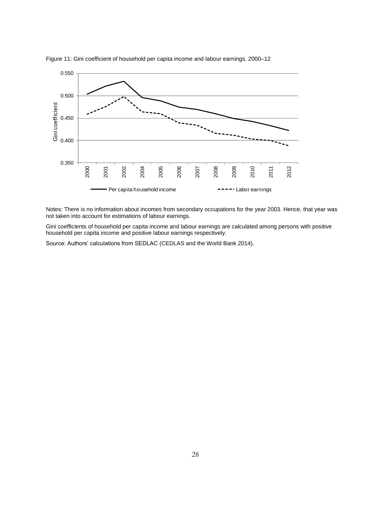

Figure 11: Gini coefficient of household per capita income and labour earnings, 2000–12

Notes: There is no information about incomes from secondary occupations for the year 2003. Hence, that year was not taken into account for estimations of labour earnings.

Gini coefficients of household per capita income and labour earnings are calculated among persons with positive household per capita income and positive labour earnings respectively.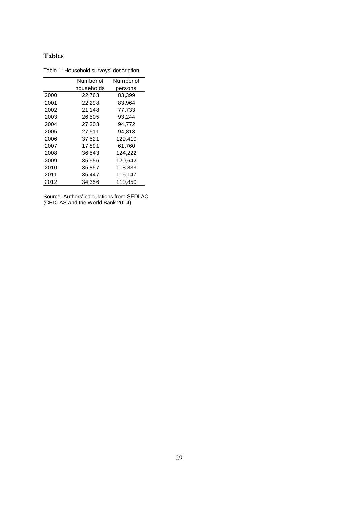# **Tables**

|  |  | Table 1: Household surveys' description |  |
|--|--|-----------------------------------------|--|
|  |  |                                         |  |

|      | Number of  | Number of |
|------|------------|-----------|
|      | households | persons   |
| 2000 | 22,763     | 83,399    |
| 2001 | 22,298     | 83,964    |
| 2002 | 21,148     | 77,733    |
| 2003 | 26,505     | 93,244    |
| 2004 | 27.303     | 94.772    |
| 2005 | 27.511     | 94.813    |
| 2006 | 37.521     | 129.410   |
| 2007 | 17.891     | 61,760    |
| 2008 | 36,543     | 124.222   |
| 2009 | 35,956     | 120,642   |
| 2010 | 35,857     | 118.833   |
| 2011 | 35,447     | 115,147   |
| 2012 | 34.356     | 110.850   |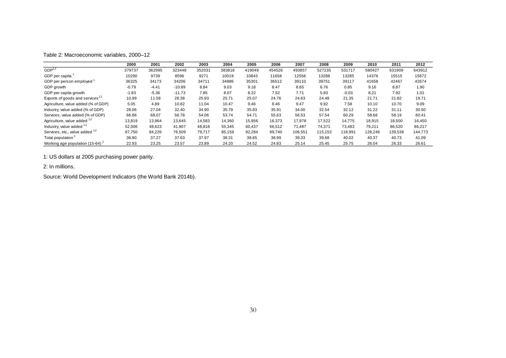Table 2: Macroeconomic variables, 2000–12

|                                     | 2000    | 2001    | 2002     | 2003   | 2004   | 2005   | 2006   | 2007    | 2008    | 2009    | 2010    | 2011    | 2012    |
|-------------------------------------|---------|---------|----------|--------|--------|--------|--------|---------|---------|---------|---------|---------|---------|
| GDP <sup>1,2</sup>                  | 379737  | 362995  | 323448   | 352031 | 383818 | 419049 | 454526 | 493857  | 527235  | 531717  | 580427  | 631909  | 643912  |
| GDP per capita                      | 10290   | 9739    | 8596     | 9271   | 10019  | 10843  | 11658  | 12556   | 13288   | 13285   | 14376   | 15515   | 15672   |
| GDP per person employed             | 36325   | 34173   | 34206    | 34711  | 34886  | 35301  | 36512  | 39110   | 39751   | 39117   | 41658   | 42467   | 42674   |
| GDP growth                          | $-0.79$ | $-4.41$ | $-10.89$ | 8.84   | 9.03   | 9.18   | 8.47   | 8.65    | 6.76    | 0.85    | 9.16    | 8.87    | 1.90    |
| GDP per capita growth               | $-1.83$ | $-5.36$ | $-11.73$ | 7.85   | 8.07   | 8.22   | 7.52   | 7.71    | 5.83    | $-0.03$ | 8.21    | 7.92    | 1.01    |
| Exports of goods and services $1.2$ | 10.99   | 11.58   | 28.38    | 25.93  | 25.71  | 25.07  | 24.76  | 24.63   | 24.48   | 21.35   | 21.71   | 21.82   | 19.71   |
| Agriculture, value added (% of GDP) | 5.05    | 4.89    | 10.82    | 11.04  | 10.47  | 9.46   | 8.46   | 9.47    | 9.92    | 7.58    | 10.10   | 10.70   | 9.09    |
| Industry, value added (% of GDP)    | 28.06   | 27.04   | 32.40    | 34.90  | 35.79  | 35.83  | 35.91  | 34.00   | 32.54   | 32.12   | 31.22   | 31.11   | 30.50   |
| Services, value added (% of GDP)    | 66.88   | 68.07   | 56.78    | 54.06  | 53.74  | 54.71  | 55.63  | 56.53   | 57.54   | 60.29   | 58.68   | 58.19   | 60.41   |
| Agriculture, value added 1,2        | 13,819  | 13,964  | 13,645   | 14,583 | 14,360 | 15,956 | 16,373 | 17.978  | 17,522  | 14.775  | 18,915  | 18,500  | 16,450  |
| Industry, value added 1,2           | 52,006  | 48,623  | 41,907   | 48,818 | 55,345 | 60,437 | 66,512 | 71,487  | 74,371  | 73,483  | 79,211  | 86,520  | 86,217  |
| Services, etc., value added 1,2     | 87.750  | 84.226  | 76.509   | 79.717 | 85.159 | 92.284 | 99.740 | 106.551 | 115.153 | 118.991 | 128.246 | 139,538 | 144,773 |
| Total population <sup>2</sup>       | 36.90   | 37.27   | 37.63    | 37.97  | 38.31  | 38.65  | 38.99  | 39.33   | 39.68   | 40.02   | 40.37   | 40.73   | 41.09   |
| Working age population (15-64) $2$  | 22.93   | 23.25   | 23.57    | 23.89  | 24.20  | 24.52  | 24.83  | 25.14   | 25.45   | 25.75   | 26.04   | 26.33   | 26.61   |

1: US dollars at 2005 purchasing power parity.

2: In millions.

Source: World Development Indicators (the World Bank 2014b).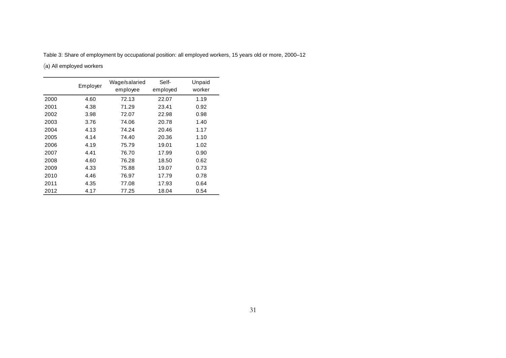Table 3: Share of employment by occupational position: all employed workers, 15 years old or more, 2000–12

(a) All employed workers

|      | Employer | Wage/salaried<br>employee | Self-<br>employed | Unpaid<br>worker |
|------|----------|---------------------------|-------------------|------------------|
| 2000 | 4.60     | 72.13                     | 22.07             | 1.19             |
| 2001 | 4.38     | 71.29                     | 23.41             | 0.92             |
| 2002 | 3.98     | 72.07                     | 22.98             | 0.98             |
| 2003 | 3.76     | 74.06                     | 20.78             | 1.40             |
| 2004 | 4.13     | 74.24                     | 20.46             | 1.17             |
| 2005 | 4.14     | 74.40                     | 20.36             | 1.10             |
| 2006 | 4.19     | 75.79                     | 19.01             | 1.02             |
| 2007 | 4.41     | 76.70                     | 17.99             | 0.90             |
| 2008 | 4.60     | 76.28                     | 18.50             | 0.62             |
| 2009 | 4.33     | 75.88                     | 19.07             | 0.73             |
| 2010 | 4.46     | 76.97                     | 17.79             | 0.78             |
| 2011 | 4.35     | 77.08                     | 17.93             | 0.64             |
| 2012 | 4.17     | 77.25                     | 18.04             | 0.54             |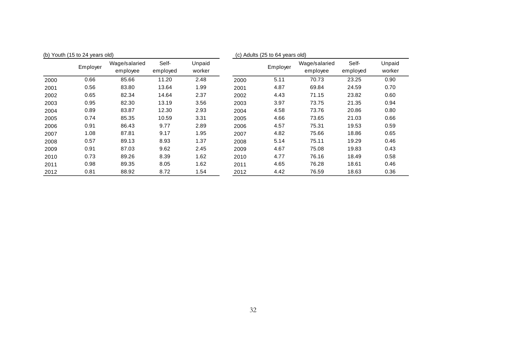|      | (b) Youth (15 to 24 years old) |                           |                   |                  |      | (c) Adults $(25 \text{ to } 64 \text{ years old})$ |                           |                   |                  |
|------|--------------------------------|---------------------------|-------------------|------------------|------|----------------------------------------------------|---------------------------|-------------------|------------------|
|      | Employer                       | Wage/salaried<br>employee | Self-<br>employed | Unpaid<br>worker |      | Employer                                           | Wage/salaried<br>employee | Self-<br>employed | Unpaid<br>worker |
| 2000 | 0.66                           | 85.66                     | 11.20             | 2.48             | 2000 | 5.11                                               | 70.73                     | 23.25             | 0.90             |
| 2001 | 0.56                           | 83.80                     | 13.64             | 1.99             | 2001 | 4.87                                               | 69.84                     | 24.59             | 0.70             |
| 2002 | 0.65                           | 82.34                     | 14.64             | 2.37             | 2002 | 4.43                                               | 71.15                     | 23.82             | 0.60             |
| 2003 | 0.95                           | 82.30                     | 13.19             | 3.56             | 2003 | 3.97                                               | 73.75                     | 21.35             | 0.94             |
| 2004 | 0.89                           | 83.87                     | 12.30             | 2.93             | 2004 | 4.58                                               | 73.76                     | 20.86             | 0.80             |
| 2005 | 0.74                           | 85.35                     | 10.59             | 3.31             | 2005 | 4.66                                               | 73.65                     | 21.03             | 0.66             |
| 2006 | 0.91                           | 86.43                     | 9.77              | 2.89             | 2006 | 4.57                                               | 75.31                     | 19.53             | 0.59             |
| 2007 | 1.08                           | 87.81                     | 9.17              | 1.95             | 2007 | 4.82                                               | 75.66                     | 18.86             | 0.65             |
| 2008 | 0.57                           | 89.13                     | 8.93              | 1.37             | 2008 | 5.14                                               | 75.11                     | 19.29             | 0.46             |
| 2009 | 0.91                           | 87.03                     | 9.62              | 2.45             | 2009 | 4.67                                               | 75.08                     | 19.83             | 0.43             |
| 2010 | 0.73                           | 89.26                     | 8.39              | 1.62             | 2010 | 4.77                                               | 76.16                     | 18.49             | 0.58             |
| 2011 | 0.98                           | 89.35                     | 8.05              | 1.62             | 2011 | 4.65                                               | 76.28                     | 18.61             | 0.46             |
| 2012 | 0.81                           | 88.92                     | 8.72              | 1.54             | 2012 | 4.42                                               | 76.59                     | 18.63             | 0.36             |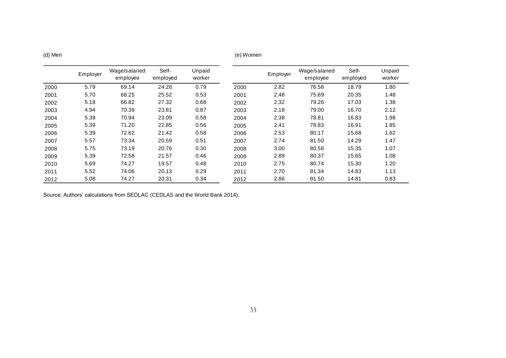|      | Employer | Wage/salaried<br>employee | Self-<br>employed | Unpaid<br>worker |      | Employer | Wage/salaried<br>employee | Self-<br>employed | Unpaid<br>worker |
|------|----------|---------------------------|-------------------|------------------|------|----------|---------------------------|-------------------|------------------|
| 2000 | 5.79     | 69.14                     | 24.28             | 0.79             | 2000 | 2.82     | 76.58                     | 18.79             | 1.80             |
| 2001 | 5.70     | 68.25                     | 25.52             | 0.53             | 2001 | 2.48     | 75.69                     | 20.35             | 1.48             |
| 2002 | 5.18     | 66.82                     | 27.32             | 0.68             | 2002 | 2.32     | 79.26                     | 17.03             | 1.38             |
| 2003 | 4.94     | 70.39                     | 23.81             | 0.87             | 2003 | 2.18     | 79.00                     | 16.70             | 2.12             |
| 2004 | 5.39     | 70.94                     | 23.09             | 0.58             | 2004 | 2.38     | 78.81                     | 16.83             | 1.98             |
| 2005 | 5.39     | 71.20                     | 22.85             | 0.56             | 2005 | 2.41     | 78.83                     | 16.91             | 1.85             |
| 2006 | 5.39     | 72.62                     | 21.42             | 0.58             | 2006 | 2.53     | 80.17                     | 15.68             | 1.62             |
| 2007 | 5.57     | 73.34                     | 20.59             | 0.51             | 2007 | 2.74     | 81.50                     | 14.29             | 1.47             |
| 2008 | 5.75     | 73.19                     | 20.76             | 0.30             | 2008 | 3.00     | 80.58                     | 15.35             | 1.07             |
| 2009 | 5.39     | 72.58                     | 21.57             | 0.46             | 2009 | 2.89     | 80.37                     | 15.65             | 1.08             |
| 2010 | 5.69     | 74.27                     | 19.57             | 0.48             | 2010 | 2.75     | 80.74                     | 15.30             | 1.20             |
| 2011 | 5.52     | 74.06                     | 20.13             | 0.29             | 2011 | 2.70     | 81.34                     | 14.83             | 1.13             |
| 2012 | 5.08     | 74.27                     | 20.31             | 0.34             | 2012 | 2.86     | 81.50                     | 14.81             | 0.83             |

Source: Authors' calculations from SEDLAC (CEDLAS and the World Bank 2014).

(d) Men (e) Women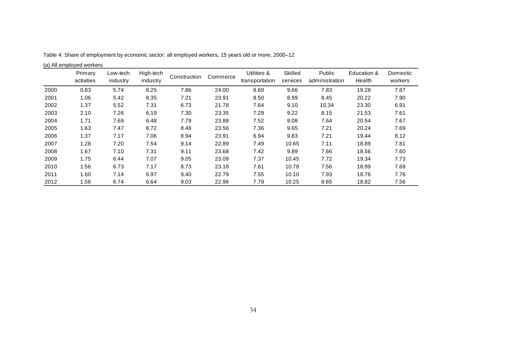|      | (a) All employed workers |                      |                       |              |          |                               |                     |                          |                       |                     |  |  |  |
|------|--------------------------|----------------------|-----------------------|--------------|----------|-------------------------------|---------------------|--------------------------|-----------------------|---------------------|--|--|--|
|      | Primary<br>activities    | Low-tech<br>industry | High-tech<br>industry | Construction | Commerce | Utilities &<br>transportation | Skilled<br>services | Public<br>administration | Education &<br>Health | Domestic<br>workers |  |  |  |
| 2000 | 0.83                     | 5.74                 | 8.25                  | 7.86         | 24.00    | 8.69                          | 9.66                | 7.83                     | 19.28                 | 7.87                |  |  |  |
| 2001 | 1.06                     | 5.42                 | 8.35                  | 7.21         | 23.91    | 8.50                          | 8.99                | 8.45                     | 20.22                 | 7.90                |  |  |  |
| 2002 | 1.37                     | 5.52                 | 7.31                  | 6.73         | 21.78    | 7.64                          | 9.10                | 10.34                    | 23.30                 | 6.91                |  |  |  |
| 2003 | 2.10                     | 7.26                 | 6.19                  | 7.30         | 23.35    | 7.29                          | 9.22                | 8.15                     | 21.53                 | 7.61                |  |  |  |
| 2004 | 1.71                     | 7.69                 | 6.48                  | 7.79         | 23.88    | 7.52                          | 9.08                | 7.64                     | 20.54                 | 7.67                |  |  |  |
| 2005 | 1.63                     | 7.47                 | 6.72                  | 8.48         | 23.56    | 7.36                          | 9.65                | 7.21                     | 20.24                 | 7.69                |  |  |  |
| 2006 | 1.37                     | 7.17                 | 7.06                  | 8.94         | 23.91    | 6.94                          | 9.83                | 7.21                     | 19.44                 | 8.12                |  |  |  |
| 2007 | 1.28                     | 7.20                 | 7.54                  | 9.14         | 22.89    | 7.49                          | 10.65               | 7.11                     | 18.89                 | 7.81                |  |  |  |
| 2008 | 1.67                     | 7.10                 | 7.31                  | 9.11         | 23.68    | 7.42                          | 9.89                | 7.66                     | 18.56                 | 7.60                |  |  |  |
| 2009 | 1.75                     | 6.44                 | 7.07                  | 9.05         | 23.09    | 7.37                          | 10.45               | 7.72                     | 19.34                 | 7.73                |  |  |  |
| 2010 | 1.56                     | 6.73                 | 7.17                  | 8.73         | 23.18    | 7.61                          | 10.78               | 7.56                     | 18.99                 | 7.69                |  |  |  |
| 2011 | 1.60                     | 7.14                 | 6.97                  | 9.40         | 22.79    | 7.55                          | 10.10               | 7.93                     | 18.76                 | 7.76                |  |  |  |
| 2012 | 1.56                     | 6.74                 | 6.64                  | 9.03         | 22.96    | 7.79                          | 10.25               | 8.65                     | 18.82                 | 7.56                |  |  |  |

Table 4: Share of employment by economic sector: all employed workers, 15 years old or more, 2000–12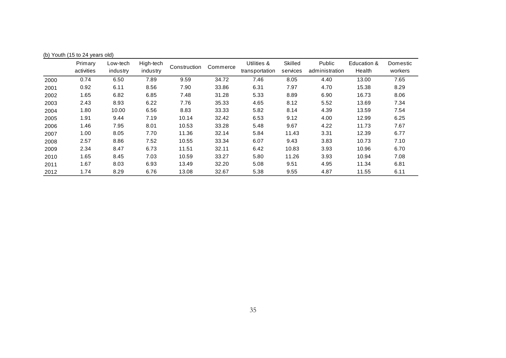|      | Primary<br>activities | Low-tech<br>industry | High-tech<br>industry | Construction | Commerce | Utilities &<br>transportation | <b>Skilled</b><br>services | Public<br>administration | Education &<br>Health | Domestic<br>workers |
|------|-----------------------|----------------------|-----------------------|--------------|----------|-------------------------------|----------------------------|--------------------------|-----------------------|---------------------|
| 2000 | 0.74                  | 6.50                 | 7.89                  | 9.59         | 34.72    | 7.46                          | 8.05                       | 4.40                     | 13.00                 | 7.65                |
| 2001 | 0.92                  | 6.11                 | 8.56                  | 7.90         | 33.86    | 6.31                          | 7.97                       | 4.70                     | 15.38                 | 8.29                |
| 2002 | 1.65                  | 6.82                 | 6.85                  | 7.48         | 31.28    | 5.33                          | 8.89                       | 6.90                     | 16.73                 | 8.06                |
| 2003 | 2.43                  | 8.93                 | 6.22                  | 7.76         | 35.33    | 4.65                          | 8.12                       | 5.52                     | 13.69                 | 7.34                |
| 2004 | 1.80                  | 10.00                | 6.56                  | 8.83         | 33.33    | 5.82                          | 8.14                       | 4.39                     | 13.59                 | 7.54                |
| 2005 | 1.91                  | 9.44                 | 7.19                  | 10.14        | 32.42    | 6.53                          | 9.12                       | 4.00                     | 12.99                 | 6.25                |
| 2006 | 1.46                  | 7.95                 | 8.01                  | 10.53        | 33.28    | 5.48                          | 9.67                       | 4.22                     | 11.73                 | 7.67                |
| 2007 | 1.00                  | 8.05                 | 7.70                  | 11.36        | 32.14    | 5.84                          | 11.43                      | 3.31                     | 12.39                 | 6.77                |
| 2008 | 2.57                  | 8.86                 | 7.52                  | 10.55        | 33.34    | 6.07                          | 9.43                       | 3.83                     | 10.73                 | 7.10                |
| 2009 | 2.34                  | 8.47                 | 6.73                  | 11.51        | 32.11    | 6.42                          | 10.83                      | 3.93                     | 10.96                 | 6.70                |
| 2010 | 1.65                  | 8.45                 | 7.03                  | 10.59        | 33.27    | 5.80                          | 11.26                      | 3.93                     | 10.94                 | 7.08                |
| 2011 | 1.67                  | 8.03                 | 6.93                  | 13.49        | 32.20    | 5.08                          | 9.51                       | 4.95                     | 11.34                 | 6.81                |
| 2012 | 1.74                  | 8.29                 | 6.76                  | 13.08        | 32.67    | 5.38                          | 9.55                       | 4.87                     | 11.55                 | 6.11                |

(b) Youth (15 to 24 years old)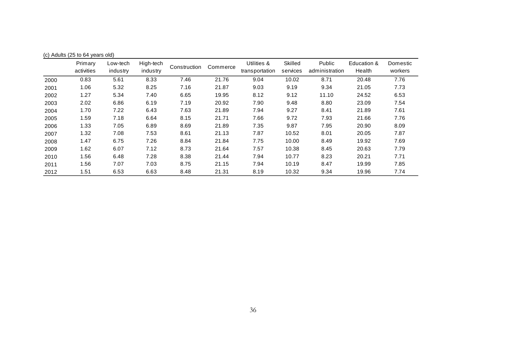|      | Primary<br>activities | Low-tech<br>industry | High-tech<br>industry | Construction | Commerce | Utilities &<br>transportation | Skilled<br>services | Public<br>administration | Education &<br>Health | Domestic<br>workers |
|------|-----------------------|----------------------|-----------------------|--------------|----------|-------------------------------|---------------------|--------------------------|-----------------------|---------------------|
| 2000 | 0.83                  | 5.61                 | 8.33                  | 7.46         | 21.76    | 9.04                          | 10.02               | 8.71                     | 20.48                 | 7.76                |
| 2001 | 1.06                  | 5.32                 | 8.25                  | 7.16         | 21.87    | 9.03                          | 9.19                | 9.34                     | 21.05                 | 7.73                |
| 2002 | 1.27                  | 5.34                 | 7.40                  | 6.65         | 19.95    | 8.12                          | 9.12                | 11.10                    | 24.52                 | 6.53                |
| 2003 | 2.02                  | 6.86                 | 6.19                  | 7.19         | 20.92    | 7.90                          | 9.48                | 8.80                     | 23.09                 | 7.54                |
| 2004 | 1.70                  | 7.22                 | 6.43                  | 7.63         | 21.89    | 7.94                          | 9.27                | 8.41                     | 21.89                 | 7.61                |
| 2005 | 1.59                  | 7.18                 | 6.64                  | 8.15         | 21.71    | 7.66                          | 9.72                | 7.93                     | 21.66                 | 7.76                |
| 2006 | 1.33                  | 7.05                 | 6.89                  | 8.69         | 21.89    | 7.35                          | 9.87                | 7.95                     | 20.90                 | 8.09                |
| 2007 | 1.32                  | 7.08                 | 7.53                  | 8.61         | 21.13    | 7.87                          | 10.52               | 8.01                     | 20.05                 | 7.87                |
| 2008 | 1.47                  | 6.75                 | 7.26                  | 8.84         | 21.84    | 7.75                          | 10.00               | 8.49                     | 19.92                 | 7.69                |
| 2009 | 1.62                  | 6.07                 | 7.12                  | 8.73         | 21.64    | 7.57                          | 10.38               | 8.45                     | 20.63                 | 7.79                |
| 2010 | 1.56                  | 6.48                 | 7.28                  | 8.38         | 21.44    | 7.94                          | 10.77               | 8.23                     | 20.21                 | 7.71                |
| 2011 | 1.56                  | 7.07                 | 7.03                  | 8.75         | 21.15    | 7.94                          | 10.19               | 8.47                     | 19.99                 | 7.85                |
| 2012 | 1.51                  | 6.53                 | 6.63                  | 8.48         | 21.31    | 8.19                          | 10.32               | 9.34                     | 19.96                 | 7.74                |

(c) Adults (25 to 64 years old)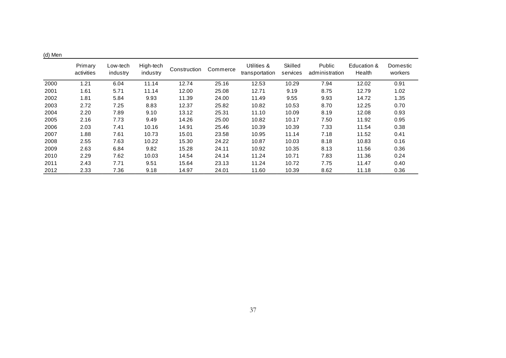| $(v)$ $(v)$ |                       |                      |                       |              |          |                               |                     |                          |                       |                     |
|-------------|-----------------------|----------------------|-----------------------|--------------|----------|-------------------------------|---------------------|--------------------------|-----------------------|---------------------|
|             | Primary<br>activities | Low-tech<br>industry | High-tech<br>industry | Construction | Commerce | Utilities &<br>transportation | Skilled<br>services | Public<br>administration | Education &<br>Health | Domestic<br>workers |
| 2000        | 1.21                  | 6.04                 | 11.14                 | 12.74        | 25.16    | 12.53                         | 10.29               | 7.94                     | 12.02                 | 0.91                |
| 2001        | 1.61                  | 5.71                 | 11.14                 | 12.00        | 25.08    | 12.71                         | 9.19                | 8.75                     | 12.79                 | 1.02                |
| 2002        | 1.81                  | 5.84                 | 9.93                  | 11.39        | 24.00    | 11.49                         | 9.55                | 9.93                     | 14.72                 | 1.35                |
| 2003        | 2.72                  | 7.25                 | 8.83                  | 12.37        | 25.82    | 10.82                         | 10.53               | 8.70                     | 12.25                 | 0.70                |
| 2004        | 2.20                  | 7.89                 | 9.10                  | 13.12        | 25.31    | 11.10                         | 10.09               | 8.19                     | 12.08                 | 0.93                |
| 2005        | 2.16                  | 7.73                 | 9.49                  | 14.26        | 25.00    | 10.82                         | 10.17               | 7.50                     | 11.92                 | 0.95                |
| 2006        | 2.03                  | 7.41                 | 10.16                 | 14.91        | 25.46    | 10.39                         | 10.39               | 7.33                     | 11.54                 | 0.38                |
| 2007        | 1.88                  | 7.61                 | 10.73                 | 15.01        | 23.58    | 10.95                         | 11.14               | 7.18                     | 11.52                 | 0.41                |
| 2008        | 2.55                  | 7.63                 | 10.22                 | 15.30        | 24.22    | 10.87                         | 10.03               | 8.18                     | 10.83                 | 0.16                |
| 2009        | 2.63                  | 6.84                 | 9.82                  | 15.28        | 24.11    | 10.92                         | 10.35               | 8.13                     | 11.56                 | 0.36                |
| 2010        | 2.29                  | 7.62                 | 10.03                 | 14.54        | 24.14    | 11.24                         | 10.71               | 7.83                     | 11.36                 | 0.24                |
| 2011        | 2.43                  | 7.71                 | 9.51                  | 15.64        | 23.13    | 11.24                         | 10.72               | 7.75                     | 11.47                 | 0.40                |
| 2012        | 2.33                  | 7.36                 | 9.18                  | 14.97        | 24.01    | 11.60                         | 10.39               | 8.62                     | 11.18                 | 0.36                |

(d) Men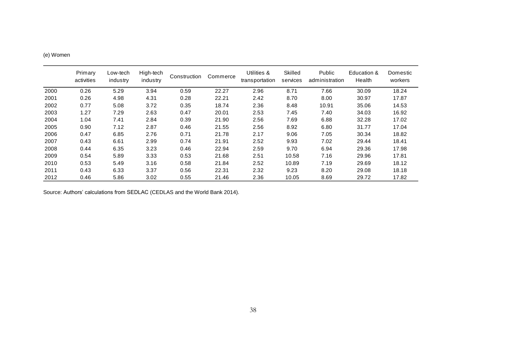|  | (e) Women |
|--|-----------|
|--|-----------|

|      | Primary<br>activities | Low-tech<br>industry | High-tech<br>industry | Construction | Commerce | Utilities &<br>transportation | Skilled<br>services | Public<br>administration | Education &<br>Health | Domestic<br>workers |
|------|-----------------------|----------------------|-----------------------|--------------|----------|-------------------------------|---------------------|--------------------------|-----------------------|---------------------|
| 2000 | 0.26                  | 5.29                 | 3.94                  | 0.59         | 22.27    | 2.96                          | 8.71                | 7.66                     | 30.09                 | 18.24               |
| 2001 | 0.26                  | 4.98                 | 4.31                  | 0.28         | 22.21    | 2.42                          | 8.70                | 8.00                     | 30.97                 | 17.87               |
| 2002 | 0.77                  | 5.08                 | 3.72                  | 0.35         | 18.74    | 2.36                          | 8.48                | 10.91                    | 35.06                 | 14.53               |
| 2003 | 1.27                  | 7.29                 | 2.63                  | 0.47         | 20.01    | 2.53                          | 7.45                | 7.40                     | 34.03                 | 16.92               |
| 2004 | 1.04                  | 7.41                 | 2.84                  | 0.39         | 21.90    | 2.56                          | 7.69                | 6.88                     | 32.28                 | 17.02               |
| 2005 | 0.90                  | 7.12                 | 2.87                  | 0.46         | 21.55    | 2.56                          | 8.92                | 6.80                     | 31.77                 | 17.04               |
| 2006 | 0.47                  | 6.85                 | 2.76                  | 0.71         | 21.78    | 2.17                          | 9.06                | 7.05                     | 30.34                 | 18.82               |
| 2007 | 0.43                  | 6.61                 | 2.99                  | 0.74         | 21.91    | 2.52                          | 9.93                | 7.02                     | 29.44                 | 18.41               |
| 2008 | 0.44                  | 6.35                 | 3.23                  | 0.46         | 22.94    | 2.59                          | 9.70                | 6.94                     | 29.36                 | 17.98               |
| 2009 | 0.54                  | 5.89                 | 3.33                  | 0.53         | 21.68    | 2.51                          | 10.58               | 7.16                     | 29.96                 | 17.81               |
| 2010 | 0.53                  | 5.49                 | 3.16                  | 0.58         | 21.84    | 2.52                          | 10.89               | 7.19                     | 29.69                 | 18.12               |
| 2011 | 0.43                  | 6.33                 | 3.37                  | 0.56         | 22.31    | 2.32                          | 9.23                | 8.20                     | 29.08                 | 18.18               |
| 2012 | 0.46                  | 5.86                 | 3.02                  | 0.55         | 21.46    | 2.36                          | 10.05               | 8.69                     | 29.72                 | 17.82               |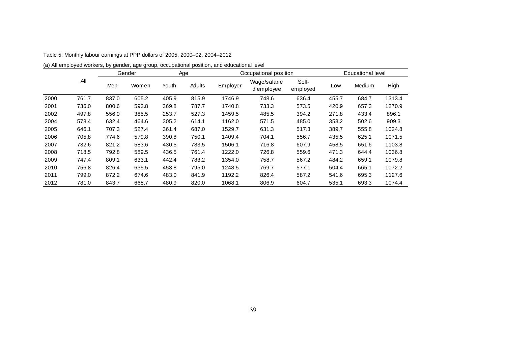|      |       |       | Gender |       | Age    |          | Occupational position      |                   |       | <b>Educational level</b> |        |  |
|------|-------|-------|--------|-------|--------|----------|----------------------------|-------------------|-------|--------------------------|--------|--|
|      | All   | Men   | Women  | Youth | Adults | Employer | Wage/salarie<br>d employee | Self-<br>employed | Low   | Medium                   | High   |  |
| 2000 | 761.7 | 837.0 | 605.2  | 405.9 | 815.9  | 1746.9   | 748.6                      | 636.4             | 455.7 | 684.7                    | 1313.4 |  |
| 2001 | 736.0 | 800.6 | 593.8  | 369.8 | 787.7  | 1740.8   | 733.3                      | 573.5             | 420.9 | 657.3                    | 1270.9 |  |
| 2002 | 497.8 | 556.0 | 385.5  | 253.7 | 527.3  | 1459.5   | 485.5                      | 394.2             | 271.8 | 433.4                    | 896.1  |  |
| 2004 | 578.4 | 632.4 | 464.6  | 305.2 | 614.1  | 1162.0   | 571.5                      | 485.0             | 353.2 | 502.6                    | 909.3  |  |
| 2005 | 646.1 | 707.3 | 527.4  | 361.4 | 687.0  | 1529.7   | 631.3                      | 517.3             | 389.7 | 555.8                    | 1024.8 |  |
| 2006 | 705.8 | 774.6 | 579.8  | 390.8 | 750.1  | 1409.4   | 704.1                      | 556.7             | 435.5 | 625.1                    | 1071.5 |  |
| 2007 | 732.6 | 821.2 | 583.6  | 430.5 | 783.5  | 1506.1   | 716.8                      | 607.9             | 458.5 | 651.6                    | 1103.8 |  |
| 2008 | 718.5 | 792.8 | 589.5  | 436.5 | 761.4  | 1222.0   | 726.8                      | 559.6             | 471.3 | 644.4                    | 1036.8 |  |
| 2009 | 747.4 | 809.1 | 633.1  | 442.4 | 783.2  | 1354.0   | 758.7                      | 567.2             | 484.2 | 659.1                    | 1079.8 |  |
| 2010 | 756.8 | 826.4 | 635.5  | 453.8 | 795.0  | 1248.5   | 769.7                      | 577.1             | 504.4 | 665.1                    | 1072.2 |  |
| 2011 | 799.0 | 872.2 | 674.6  | 483.0 | 841.9  | 1192.2   | 826.4                      | 587.2             | 541.6 | 695.3                    | 1127.6 |  |
| 2012 | 781.0 | 843.7 | 668.7  | 480.9 | 820.0  | 1068.1   | 806.9                      | 604.7             | 535.1 | 693.3                    | 1074.4 |  |

# Table 5: Monthly labour earnings at PPP dollars of 2005, 2000–02, 2004–2012

(a) All employed workers, by gender, age group, occupational position, and educational level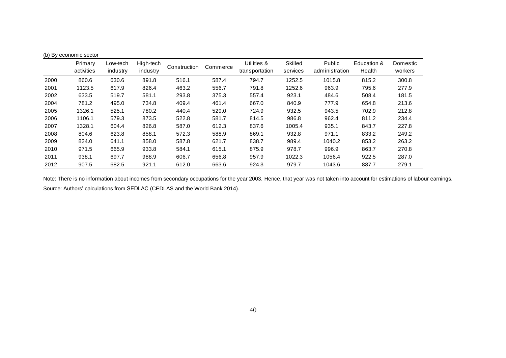|      | (b) By economic sector |                      |                       |              |          |                               |                     |                                 |                       |                     |
|------|------------------------|----------------------|-----------------------|--------------|----------|-------------------------------|---------------------|---------------------------------|-----------------------|---------------------|
|      | Primary<br>activities  | Low-tech<br>industry | High-tech<br>industry | Construction | Commerce | Utilities &<br>transportation | Skilled<br>services | <b>Public</b><br>administration | Education &<br>Health | Domestic<br>workers |
| 2000 | 860.6                  | 630.6                | 891.8                 | 516.1        | 587.4    | 794.7                         | 1252.5              | 1015.8                          | 815.2                 | 300.8               |
| 2001 | 1123.5                 | 617.9                | 826.4                 | 463.2        | 556.7    | 791.8                         | 1252.6              | 963.9                           | 795.6                 | 277.9               |
| 2002 | 633.5                  | 519.7                | 581.1                 | 293.8        | 375.3    | 557.4                         | 923.1               | 484.6                           | 508.4                 | 181.5               |
| 2004 | 781.2                  | 495.0                | 734.8                 | 409.4        | 461.4    | 667.0                         | 840.9               | 777.9                           | 654.8                 | 213.6               |
| 2005 | 1326.1                 | 525.1                | 780.2                 | 440.4        | 529.0    | 724.9                         | 932.5               | 943.5                           | 702.9                 | 212.8               |
| 2006 | 1106.1                 | 579.3                | 873.5                 | 522.8        | 581.7    | 814.5                         | 986.8               | 962.4                           | 811.2                 | 234.4               |
| 2007 | 1328.1                 | 604.4                | 826.8                 | 587.0        | 612.3    | 837.6                         | 1005.4              | 935.1                           | 843.7                 | 227.8               |
| 2008 | 804.6                  | 623.8                | 858.1                 | 572.3        | 588.9    | 869.1                         | 932.8               | 971.1                           | 833.2                 | 249.2               |
| 2009 | 824.0                  | 641.1                | 858.0                 | 587.8        | 621.7    | 838.7                         | 989.4               | 1040.2                          | 853.2                 | 263.2               |
| 2010 | 971.5                  | 665.9                | 933.8                 | 584.1        | 615.1    | 875.9                         | 978.7               | 996.9                           | 863.7                 | 270.8               |
| 2011 | 938.1                  | 697.7                | 988.9                 | 606.7        | 656.8    | 957.9                         | 1022.3              | 1056.4                          | 922.5                 | 287.0               |
| 2012 | 907.5                  | 682.5                | 921.1                 | 612.0        | 663.6    | 924.3                         | 979.7               | 1043.6                          | 887.7                 | 279.1               |

Note: There is no information about incomes from secondary occupations for the year 2003. Hence, that year was not taken into account for estimations of labour earnings. Source: Authors' calculations from SEDLAC (CEDLAS and the World Bank 2014).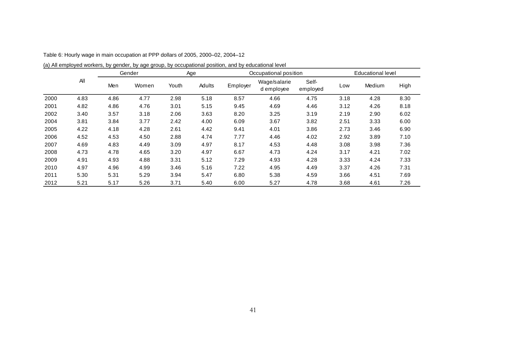| (a) All employed workers, by gender, by age group, by occupational position, and by educational level |      |        |       |       |        |                       |                            |                   |                          |        |      |
|-------------------------------------------------------------------------------------------------------|------|--------|-------|-------|--------|-----------------------|----------------------------|-------------------|--------------------------|--------|------|
|                                                                                                       |      | Gender |       | Age   |        | Occupational position |                            |                   | <b>Educational level</b> |        |      |
|                                                                                                       | All  | Men    | Women | Youth | Adults | Employer              | Wage/salarie<br>d employee | Self-<br>employed | Low                      | Medium | High |
| 2000                                                                                                  | 4.83 | 4.86   | 4.77  | 2.98  | 5.18   | 8.57                  | 4.66                       | 4.75              | 3.18                     | 4.28   | 8.30 |
| 2001                                                                                                  | 4.82 | 4.86   | 4.76  | 3.01  | 5.15   | 9.45                  | 4.69                       | 4.46              | 3.12                     | 4.26   | 8.18 |
| 2002                                                                                                  | 3.40 | 3.57   | 3.18  | 2.06  | 3.63   | 8.20                  | 3.25                       | 3.19              | 2.19                     | 2.90   | 6.02 |
| 2004                                                                                                  | 3.81 | 3.84   | 3.77  | 2.42  | 4.00   | 6.09                  | 3.67                       | 3.82              | 2.51                     | 3.33   | 6.00 |
| 2005                                                                                                  | 4.22 | 4.18   | 4.28  | 2.61  | 4.42   | 9.41                  | 4.01                       | 3.86              | 2.73                     | 3.46   | 6.90 |
| 2006                                                                                                  | 4.52 | 4.53   | 4.50  | 2.88  | 4.74   | 7.77                  | 4.46                       | 4.02              | 2.92                     | 3.89   | 7.10 |
| 2007                                                                                                  | 4.69 | 4.83   | 4.49  | 3.09  | 4.97   | 8.17                  | 4.53                       | 4.48              | 3.08                     | 3.98   | 7.36 |
| 2008                                                                                                  | 4.73 | 4.78   | 4.65  | 3.20  | 4.97   | 6.67                  | 4.73                       | 4.24              | 3.17                     | 4.21   | 7.02 |
| 2009                                                                                                  | 4.91 | 4.93   | 4.88  | 3.31  | 5.12   | 7.29                  | 4.93                       | 4.28              | 3.33                     | 4.24   | 7.33 |
| 2010                                                                                                  | 4.97 | 4.96   | 4.99  | 3.46  | 5.16   | 7.22                  | 4.95                       | 4.49              | 3.37                     | 4.26   | 7.31 |
| 2011                                                                                                  | 5.30 | 5.31   | 5.29  | 3.94  | 5.47   | 6.80                  | 5.38                       | 4.59              | 3.66                     | 4.51   | 7.69 |
| 2012                                                                                                  | 5.21 | 5.17   | 5.26  | 3.71  | 5.40   | 6.00                  | 5.27                       | 4.78              | 3.68                     | 4.61   | 7.26 |

Table 6: Hourly wage in main occupation at PPP dollars of 2005, 2000–02, 2004–12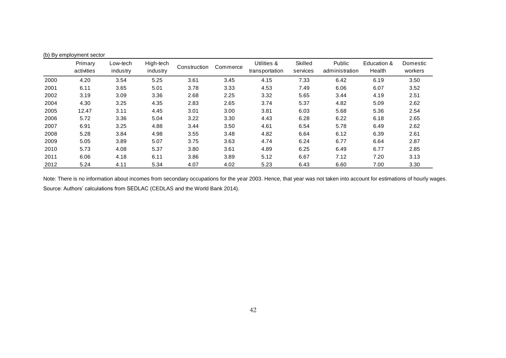|      | (b) By employment sector |                      |                       |              |          |                               |                     |                          |                       |                     |
|------|--------------------------|----------------------|-----------------------|--------------|----------|-------------------------------|---------------------|--------------------------|-----------------------|---------------------|
|      | Primary<br>activities    | Low-tech<br>industry | High-tech<br>industry | Construction | Commerce | Utilities &<br>transportation | Skilled<br>services | Public<br>administration | Education &<br>Health | Domestic<br>workers |
| 2000 | 4.20                     | 3.54                 | 5.25                  | 3.61         | 3.45     | 4.15                          | 7.33                | 6.42                     | 6.19                  | 3.50                |
| 2001 | 6.11                     | 3.65                 | 5.01                  | 3.78         | 3.33     | 4.53                          | 7.49                | 6.06                     | 6.07                  | 3.52                |
| 2002 | 3.19                     | 3.09                 | 3.36                  | 2.68         | 2.25     | 3.32                          | 5.65                | 3.44                     | 4.19                  | 2.51                |
| 2004 | 4.30                     | 3.25                 | 4.35                  | 2.83         | 2.65     | 3.74                          | 5.37                | 4.82                     | 5.09                  | 2.62                |
| 2005 | 12.47                    | 3.11                 | 4.45                  | 3.01         | 3.00     | 3.81                          | 6.03                | 5.68                     | 5.36                  | 2.54                |
| 2006 | 5.72                     | 3.36                 | 5.04                  | 3.22         | 3.30     | 4.43                          | 6.28                | 6.22                     | 6.18                  | 2.65                |
| 2007 | 6.91                     | 3.25                 | 4.88                  | 3.44         | 3.50     | 4.61                          | 6.54                | 5.78                     | 6.49                  | 2.62                |
| 2008 | 5.28                     | 3.84                 | 4.98                  | 3.55         | 3.48     | 4.82                          | 6.64                | 6.12                     | 6.39                  | 2.61                |
| 2009 | 5.05                     | 3.89                 | 5.07                  | 3.75         | 3.63     | 4.74                          | 6.24                | 6.77                     | 6.64                  | 2.87                |
| 2010 | 5.73                     | 4.08                 | 5.37                  | 3.80         | 3.61     | 4.89                          | 6.25                | 6.49                     | 6.77                  | 2.85                |
| 2011 | 6.06                     | 4.18                 | 6.11                  | 3.86         | 3.89     | 5.12                          | 6.67                | 7.12                     | 7.20                  | 3.13                |
| 2012 | 5.24                     | 4.11                 | 5.34                  | 4.07         | 4.02     | 5.23                          | 6.43                | 6.60                     | 7.00                  | 3.30                |

Note: There is no information about incomes from secondary occupations for the year 2003. Hence, that year was not taken into account for estimations of hourly wages. Source: Authors' calculations from SEDLAC (CEDLAS and the World Bank 2014).